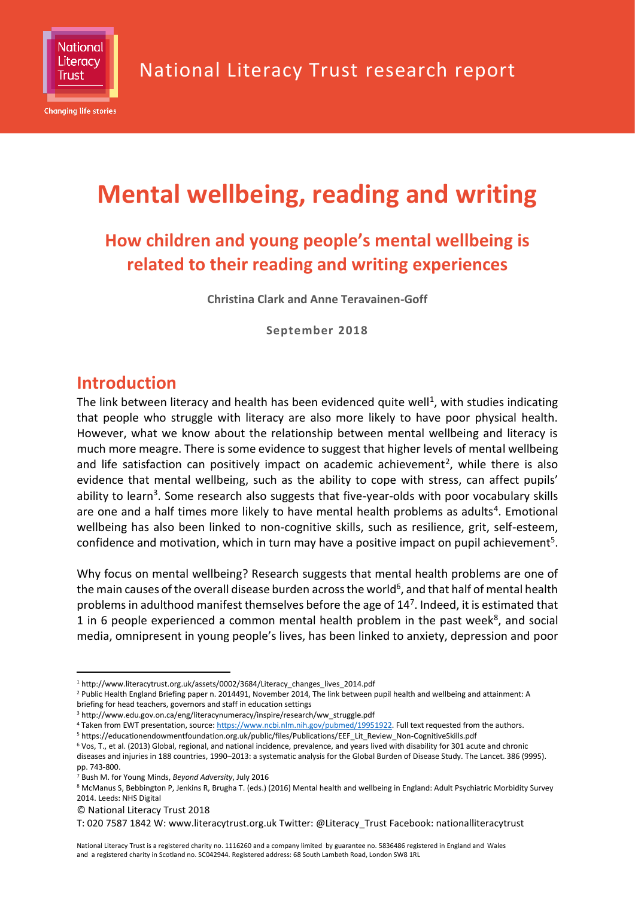

**Changing life stories** 

# **Mental wellbeing, reading and writing**

### **How children and young people's mental wellbeing is related to their reading and writing experiences**

**Christina Clark and Anne Teravainen-Goff**

**September 2018**

### **Introduction**

The link between literacy and health has been evidenced quite well<sup>1</sup>, with studies indicating that people who struggle with literacy are also more likely to have poor physical health. However, what we know about the relationship between mental wellbeing and literacy is much more meagre. There is some evidence to suggest that higher levels of mental wellbeing and life satisfaction can positively impact on academic achievement<sup>2</sup>, while there is also evidence that mental wellbeing, such as the ability to cope with stress, can affect pupils' ability to learn<sup>3</sup>. Some research also suggests that five-year-olds with poor vocabulary skills are one and a half times more likely to have mental health problems as adults<sup>4</sup>. Emotional wellbeing has also been linked to non-cognitive skills, such as resilience, grit, self-esteem, confidence and motivation, which in turn may have a positive impact on pupil achievement<sup>5</sup>.

Why focus on mental wellbeing? Research suggests that mental health problems are one of the main causes of the overall disease burden across the world $^6$ , and that half of mental health problems in adulthood manifest themselves before the age of 14<sup>7</sup>. Indeed, it is estimated that 1 in 6 people experienced a common mental health problem in the past week<sup>8</sup>, and social media, omnipresent in young people's lives, has been linked to anxiety, depression and poor

<sup>-</sup><sup>1</sup> http://www.literacytrust.org.uk/assets/0002/3684/Literacy\_changes\_lives\_2014.pdf

<sup>&</sup>lt;sup>2</sup> Public Health England Briefing paper n. 2014491, November 2014, The link between pupil health and wellbeing and attainment: A briefing for head teachers, governors and staff in education settings

<sup>3</sup> http://www.edu.gov.on.ca/eng/literacynumeracy/inspire/research/ww\_struggle.pdf

<sup>&</sup>lt;sup>4</sup> Taken from EWT presentation, source[: https://www.ncbi.nlm.nih.gov/pubmed/19951922.](https://www.ncbi.nlm.nih.gov/pubmed/19951922) Full text requested from the authors.

<sup>5</sup> https://educationendowmentfoundation.org.uk/public/files/Publications/EEF\_Lit\_Review\_Non-CognitiveSkills.pdf

<sup>6</sup> Vos, T., et al. (2013) Global, regional, and national incidence, prevalence, and years lived with disability for 301 acute and chronic

diseases and injuries in 188 countries, 1990–2013: a systematic analysis for the Global Burden of Disease Study. The Lancet. 386 (9995). pp. 743-800.

<sup>7</sup> Bush M. for Young Minds, *Beyond Adversity*, July 2016

<sup>&</sup>lt;sup>8</sup> McManus S, Bebbington P, Jenkins R, Brugha T. (eds.) (2016) Mental health and wellbeing in England: Adult Psychiatric Morbidity Survey 2014. Leeds: NHS Digital

<sup>©</sup> National Literacy Trust 2018

T: 020 7587 1842 W: www.literacytrust.org.uk Twitter: @Literacy\_Trust Facebook: nationalliteracytrust

National Literacy Trust is a registered charity no. 1116260 and a company limited by guarantee no. 5836486 registered in England and Wales and a registered charity in Scotland no. SC042944. Registered address: 68 South Lambeth Road, London SW8 1RL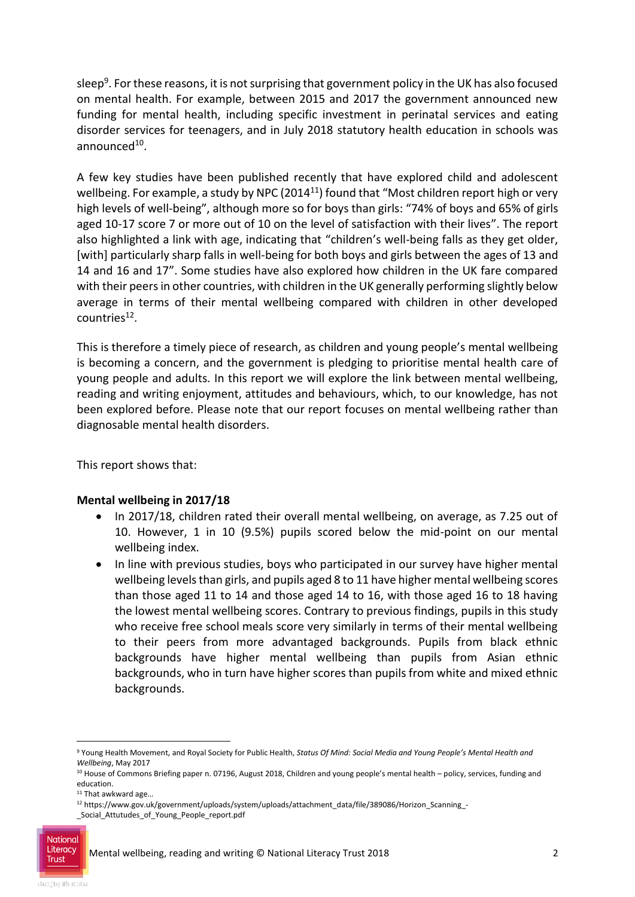sleep<sup>9</sup>. For these reasons, it is not surprising that government policy in the UK has also focused on mental health. For example, between 2015 and 2017 the government announced new funding for mental health, including specific investment in perinatal services and eating disorder services for teenagers, and in July 2018 statutory health education in schools was announced<sup>10</sup>.

A few key studies have been published recently that have explored child and adolescent wellbeing. For example, a study by NPC (2014 $^{11}$ ) found that "Most children report high or very high levels of well-being", although more so for boys than girls: "74% of boys and 65% of girls aged 10-17 score 7 or more out of 10 on the level of satisfaction with their lives". The report also highlighted a link with age, indicating that "children's well-being falls as they get older, [with] particularly sharp falls in well-being for both boys and girls between the ages of 13 and 14 and 16 and 17". Some studies have also explored how children in the UK fare compared with their peers in other countries, with children in the UK generally performing slightly below average in terms of their mental wellbeing compared with children in other developed countries<sup>12</sup>.

This is therefore a timely piece of research, as children and young people's mental wellbeing is becoming a concern, and the government is pledging to prioritise mental health care of young people and adults. In this report we will explore the link between mental wellbeing, reading and writing enjoyment, attitudes and behaviours, which, to our knowledge, has not been explored before. Please note that our report focuses on mental wellbeing rather than diagnosable mental health disorders.

This report shows that:

#### **Mental wellbeing in 2017/18**

- In 2017/18, children rated their overall mental wellbeing, on average, as 7.25 out of 10. However, 1 in 10 (9.5%) pupils scored below the mid-point on our mental wellbeing index.
- In line with previous studies, boys who participated in our survey have higher mental wellbeing levels than girls, and pupils aged 8 to 11 have higher mental wellbeing scores than those aged 11 to 14 and those aged 14 to 16, with those aged 16 to 18 having the lowest mental wellbeing scores. Contrary to previous findings, pupils in this study who receive free school meals score very similarly in terms of their mental wellbeing to their peers from more advantaged backgrounds. Pupils from black ethnic backgrounds have higher mental wellbeing than pupils from Asian ethnic backgrounds, who in turn have higher scores than pupils from white and mixed ethnic backgrounds.

-

<sup>9</sup> Young Health Movement, and Royal Society for Public Health, *Status Of Mind: Social Media and Young People's Mental Health and Wellbeing*, May 2017

<sup>10</sup> House of Commons Briefing paper n. 07196, August 2018, Children and young people's mental health - policy, services, funding and education.

<sup>&</sup>lt;sup>11</sup> That awkward age...

<sup>12</sup> https://www.gov.uk/government/uploads/system/uploads/attachment\_data/file/389086/Horizon\_Scanning\_-

\_Social\_Attutudes\_of\_Young\_People\_report.pdf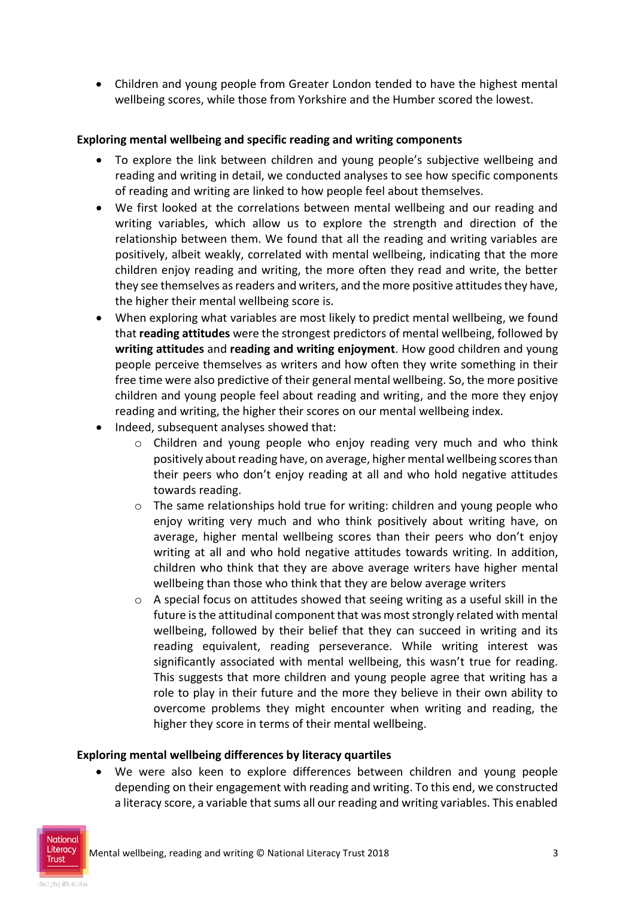Children and young people from Greater London tended to have the highest mental wellbeing scores, while those from Yorkshire and the Humber scored the lowest.

#### **Exploring mental wellbeing and specific reading and writing components**

- To explore the link between children and young people's subjective wellbeing and reading and writing in detail, we conducted analyses to see how specific components of reading and writing are linked to how people feel about themselves.
- We first looked at the correlations between mental wellbeing and our reading and writing variables, which allow us to explore the strength and direction of the relationship between them. We found that all the reading and writing variables are positively, albeit weakly, correlated with mental wellbeing, indicating that the more children enjoy reading and writing, the more often they read and write, the better they see themselves as readers and writers, and the more positive attitudes they have, the higher their mental wellbeing score is.
- When exploring what variables are most likely to predict mental wellbeing, we found that **reading attitudes** were the strongest predictors of mental wellbeing, followed by **writing attitudes** and **reading and writing enjoyment**. How good children and young people perceive themselves as writers and how often they write something in their free time were also predictive of their general mental wellbeing. So, the more positive children and young people feel about reading and writing, and the more they enjoy reading and writing, the higher their scores on our mental wellbeing index.
- Indeed, subsequent analyses showed that:
	- o Children and young people who enjoy reading very much and who think positively about reading have, on average, higher mental wellbeing scores than their peers who don't enjoy reading at all and who hold negative attitudes towards reading.
	- $\circ$  The same relationships hold true for writing: children and young people who enjoy writing very much and who think positively about writing have, on average, higher mental wellbeing scores than their peers who don't enjoy writing at all and who hold negative attitudes towards writing. In addition, children who think that they are above average writers have higher mental wellbeing than those who think that they are below average writers
	- o A special focus on attitudes showed that seeing writing as a useful skill in the future is the attitudinal component that was most strongly related with mental wellbeing, followed by their belief that they can succeed in writing and its reading equivalent, reading perseverance. While writing interest was significantly associated with mental wellbeing, this wasn't true for reading. This suggests that more children and young people agree that writing has a role to play in their future and the more they believe in their own ability to overcome problems they might encounter when writing and reading, the higher they score in terms of their mental wellbeing.

#### **Exploring mental wellbeing differences by literacy quartiles**

 We were also keen to explore differences between children and young people depending on their engagement with reading and writing. To this end, we constructed a literacy score, a variable that sums all our reading and writing variables. This enabled

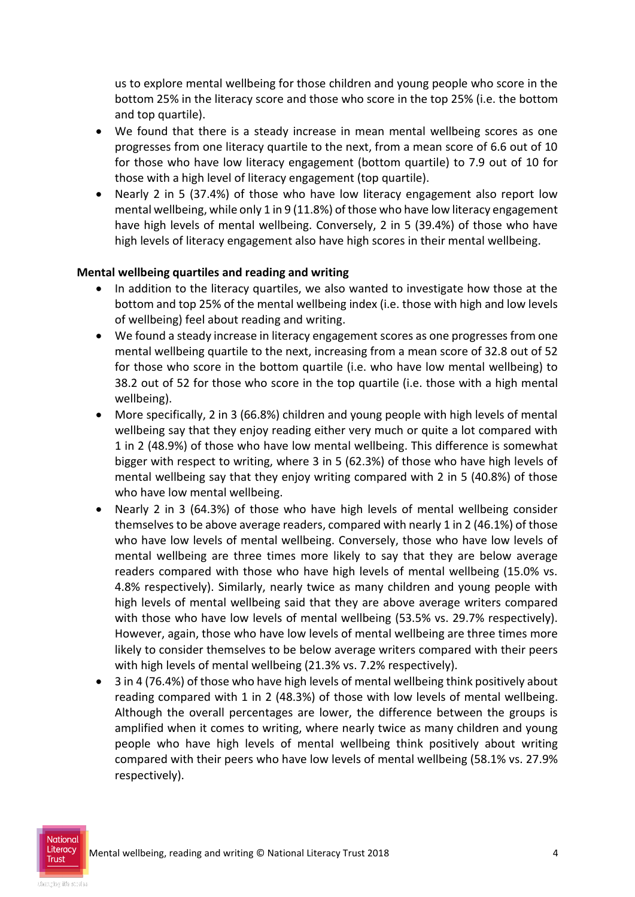us to explore mental wellbeing for those children and young people who score in the bottom 25% in the literacy score and those who score in the top 25% (i.e. the bottom and top quartile).

- We found that there is a steady increase in mean mental wellbeing scores as one progresses from one literacy quartile to the next, from a mean score of 6.6 out of 10 for those who have low literacy engagement (bottom quartile) to 7.9 out of 10 for those with a high level of literacy engagement (top quartile).
- Nearly 2 in 5 (37.4%) of those who have low literacy engagement also report low mental wellbeing, while only 1 in 9 (11.8%) of those who have low literacy engagement have high levels of mental wellbeing. Conversely, 2 in 5 (39.4%) of those who have high levels of literacy engagement also have high scores in their mental wellbeing.

#### **Mental wellbeing quartiles and reading and writing**

- In addition to the literacy quartiles, we also wanted to investigate how those at the bottom and top 25% of the mental wellbeing index (i.e. those with high and low levels of wellbeing) feel about reading and writing.
- We found a steady increase in literacy engagement scores as one progresses from one mental wellbeing quartile to the next, increasing from a mean score of 32.8 out of 52 for those who score in the bottom quartile (i.e. who have low mental wellbeing) to 38.2 out of 52 for those who score in the top quartile (i.e. those with a high mental wellbeing).
- More specifically, 2 in 3 (66.8%) children and young people with high levels of mental wellbeing say that they enjoy reading either very much or quite a lot compared with 1 in 2 (48.9%) of those who have low mental wellbeing. This difference is somewhat bigger with respect to writing, where 3 in 5 (62.3%) of those who have high levels of mental wellbeing say that they enjoy writing compared with 2 in 5 (40.8%) of those who have low mental wellbeing.
- Nearly 2 in 3 (64.3%) of those who have high levels of mental wellbeing consider themselves to be above average readers, compared with nearly 1 in 2 (46.1%) of those who have low levels of mental wellbeing. Conversely, those who have low levels of mental wellbeing are three times more likely to say that they are below average readers compared with those who have high levels of mental wellbeing (15.0% vs. 4.8% respectively). Similarly, nearly twice as many children and young people with high levels of mental wellbeing said that they are above average writers compared with those who have low levels of mental wellbeing (53.5% vs. 29.7% respectively). However, again, those who have low levels of mental wellbeing are three times more likely to consider themselves to be below average writers compared with their peers with high levels of mental wellbeing (21.3% vs. 7.2% respectively).
- 3 in 4 (76.4%) of those who have high levels of mental wellbeing think positively about reading compared with 1 in 2 (48.3%) of those with low levels of mental wellbeing. Although the overall percentages are lower, the difference between the groups is amplified when it comes to writing, where nearly twice as many children and young people who have high levels of mental wellbeing think positively about writing compared with their peers who have low levels of mental wellbeing (58.1% vs. 27.9% respectively).

National **Trust**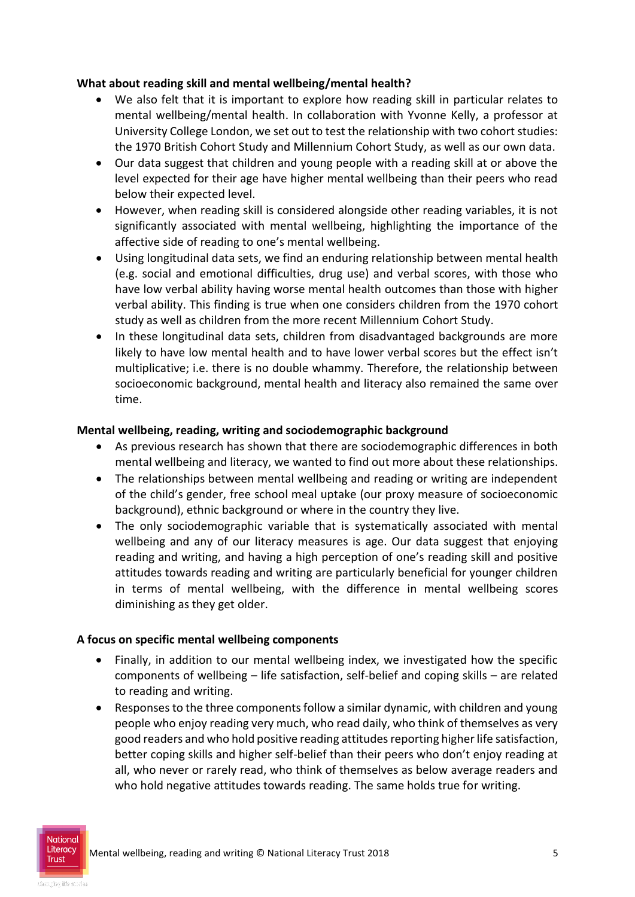#### **What about reading skill and mental wellbeing/mental health?**

- We also felt that it is important to explore how reading skill in particular relates to mental wellbeing/mental health. In collaboration with Yvonne Kelly, a professor at University College London, we set out to test the relationship with two cohort studies: the 1970 British Cohort Study and Millennium Cohort Study, as well as our own data.
- Our data suggest that children and young people with a reading skill at or above the level expected for their age have higher mental wellbeing than their peers who read below their expected level.
- However, when reading skill is considered alongside other reading variables, it is not significantly associated with mental wellbeing, highlighting the importance of the affective side of reading to one's mental wellbeing.
- Using longitudinal data sets, we find an enduring relationship between mental health (e.g. social and emotional difficulties, drug use) and verbal scores, with those who have low verbal ability having worse mental health outcomes than those with higher verbal ability. This finding is true when one considers children from the 1970 cohort study as well as children from the more recent Millennium Cohort Study.
- In these longitudinal data sets, children from disadvantaged backgrounds are more likely to have low mental health and to have lower verbal scores but the effect isn't multiplicative; i.e. there is no double whammy. Therefore, the relationship between socioeconomic background, mental health and literacy also remained the same over time.

#### **Mental wellbeing, reading, writing and sociodemographic background**

- As previous research has shown that there are sociodemographic differences in both mental wellbeing and literacy, we wanted to find out more about these relationships.
- The relationships between mental wellbeing and reading or writing are independent of the child's gender, free school meal uptake (our proxy measure of socioeconomic background), ethnic background or where in the country they live.
- The only sociodemographic variable that is systematically associated with mental wellbeing and any of our literacy measures is age. Our data suggest that enjoying reading and writing, and having a high perception of one's reading skill and positive attitudes towards reading and writing are particularly beneficial for younger children in terms of mental wellbeing, with the difference in mental wellbeing scores diminishing as they get older.

#### **A focus on specific mental wellbeing components**

- Finally, in addition to our mental wellbeing index, we investigated how the specific components of wellbeing – life satisfaction, self-belief and coping skills – are related to reading and writing.
- Responses to the three components follow a similar dynamic, with children and young people who enjoy reading very much, who read daily, who think of themselves as very good readers and who hold positive reading attitudes reporting higher life satisfaction, better coping skills and higher self-belief than their peers who don't enjoy reading at all, who never or rarely read, who think of themselves as below average readers and who hold negative attitudes towards reading. The same holds true for writing.

National **Trust**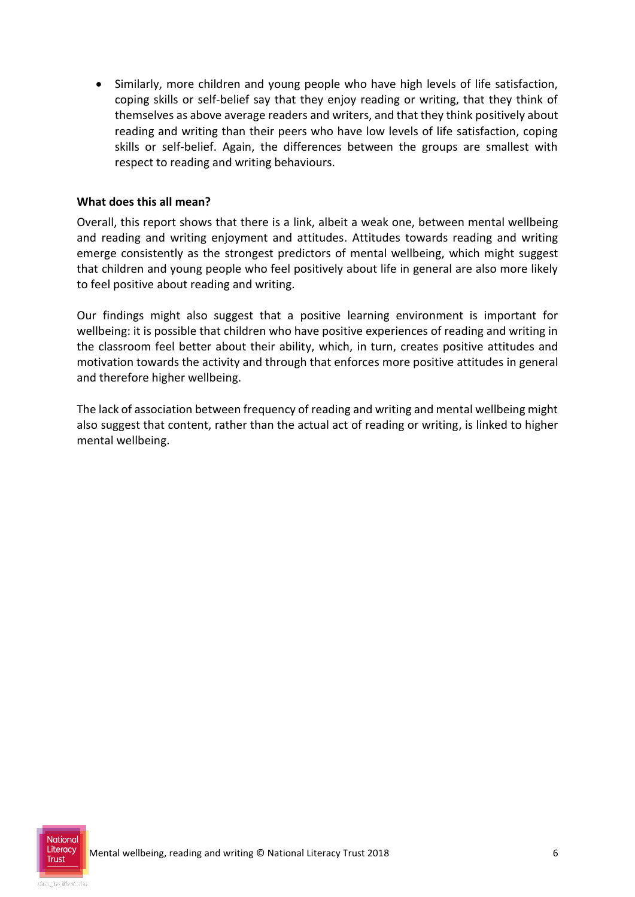Similarly, more children and young people who have high levels of life satisfaction, coping skills or self-belief say that they enjoy reading or writing, that they think of themselves as above average readers and writers, and that they think positively about reading and writing than their peers who have low levels of life satisfaction, coping skills or self-belief. Again, the differences between the groups are smallest with respect to reading and writing behaviours.

#### **What does this all mean?**

Overall, this report shows that there is a link, albeit a weak one, between mental wellbeing and reading and writing enjoyment and attitudes. Attitudes towards reading and writing emerge consistently as the strongest predictors of mental wellbeing, which might suggest that children and young people who feel positively about life in general are also more likely to feel positive about reading and writing.

Our findings might also suggest that a positive learning environment is important for wellbeing: it is possible that children who have positive experiences of reading and writing in the classroom feel better about their ability, which, in turn, creates positive attitudes and motivation towards the activity and through that enforces more positive attitudes in general and therefore higher wellbeing.

The lack of association between frequency of reading and writing and mental wellbeing might also suggest that content, rather than the actual act of reading or writing, is linked to higher mental wellbeing.

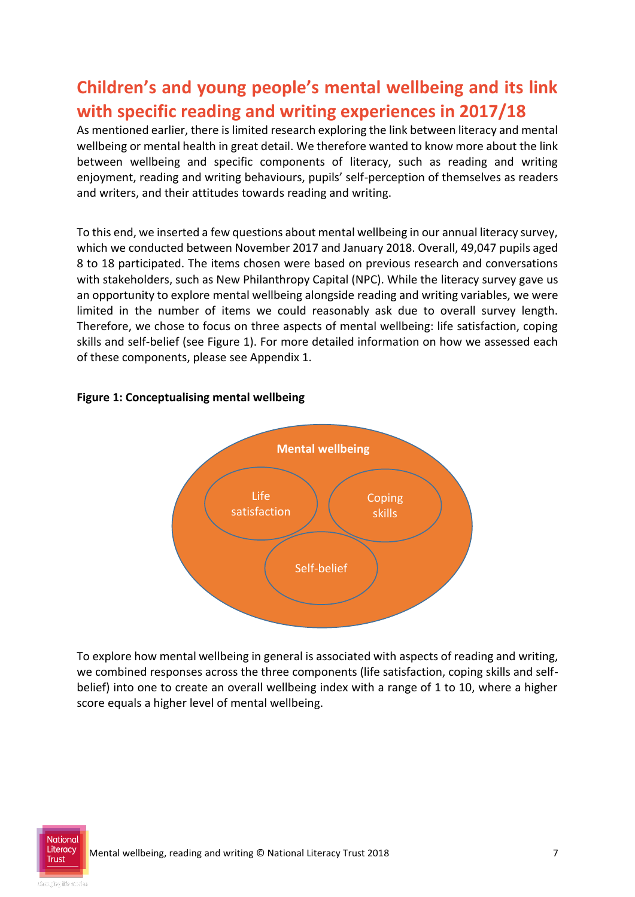## **Children's and young people's mental wellbeing and its link with specific reading and writing experiences in 2017/18**

As mentioned earlier, there is limited research exploring the link between literacy and mental wellbeing or mental health in great detail. We therefore wanted to know more about the link between wellbeing and specific components of literacy, such as reading and writing enjoyment, reading and writing behaviours, pupils' self-perception of themselves as readers and writers, and their attitudes towards reading and writing.

To this end, we inserted a few questions about mental wellbeing in our annual literacy survey, which we conducted between November 2017 and January 2018. Overall, 49,047 pupils aged 8 to 18 participated. The items chosen were based on previous research and conversations with stakeholders, such as New Philanthropy Capital (NPC). While the literacy survey gave us an opportunity to explore mental wellbeing alongside reading and writing variables, we were limited in the number of items we could reasonably ask due to overall survey length. Therefore, we chose to focus on three aspects of mental wellbeing: life satisfaction, coping skills and self-belief (see Figure 1). For more detailed information on how we assessed each of these components, please see Appendix 1.



#### **Figure 1: Conceptualising mental wellbeing**

To explore how mental wellbeing in general is associated with aspects of reading and writing, we combined responses across the three components (life satisfaction, coping skills and selfbelief) into one to create an overall wellbeing index with a range of 1 to 10, where a higher score equals a higher level of mental wellbeing.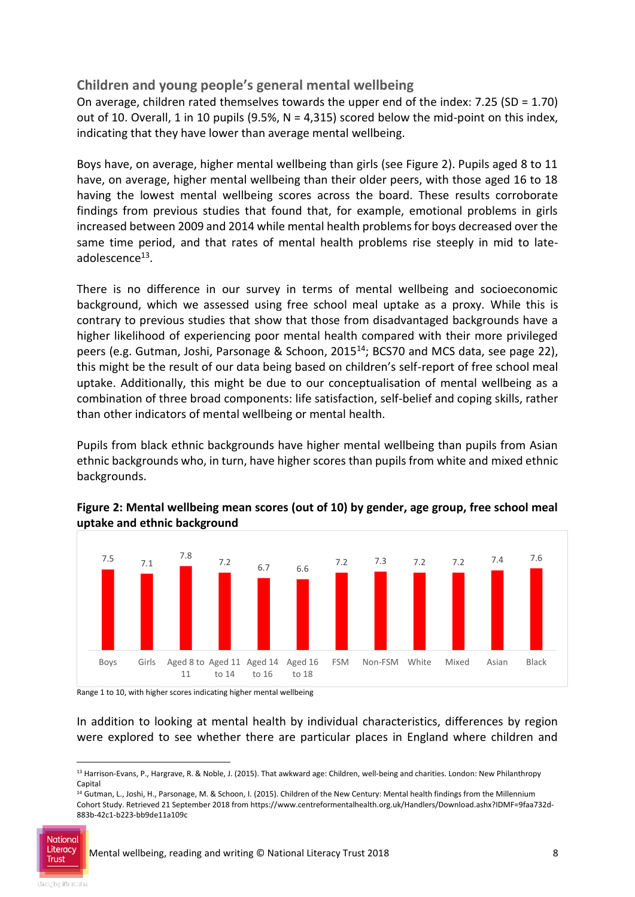#### **Children and young people's general mental wellbeing**

On average, children rated themselves towards the upper end of the index: 7.25 (SD = 1.70) out of 10. Overall, 1 in 10 pupils (9.5%,  $N = 4,315$ ) scored below the mid-point on this index, indicating that they have lower than average mental wellbeing.

Boys have, on average, higher mental wellbeing than girls (see Figure 2). Pupils aged 8 to 11 have, on average, higher mental wellbeing than their older peers, with those aged 16 to 18 having the lowest mental wellbeing scores across the board. These results corroborate findings from previous studies that found that, for example, emotional problems in girls increased between 2009 and 2014 while mental health problems for boys decreased over the same time period, and that rates of mental health problems rise steeply in mid to lateadolescence<sup>13</sup>.

There is no difference in our survey in terms of mental wellbeing and socioeconomic background, which we assessed using free school meal uptake as a proxy. While this is contrary to previous studies that show that those from disadvantaged backgrounds have a higher likelihood of experiencing poor mental health compared with their more privileged peers (e.g. Gutman, Joshi, Parsonage & Schoon, 2015<sup>14</sup>; BCS70 and MCS data, see page 22), this might be the result of our data being based on children's self-report of free school meal uptake. Additionally, this might be due to our conceptualisation of mental wellbeing as a combination of three broad components: life satisfaction, self-belief and coping skills, rather than other indicators of mental wellbeing or mental health.

Pupils from black ethnic backgrounds have higher mental wellbeing than pupils from Asian ethnic backgrounds who, in turn, have higher scores than pupils from white and mixed ethnic backgrounds.



#### **Figure 2: Mental wellbeing mean scores (out of 10) by gender, age group, free school meal uptake and ethnic background**

Range 1 to 10, with higher scores indicating higher mental wellbeing

In addition to looking at mental health by individual characteristics, differences by region were explored to see whether there are particular places in England where children and

<sup>14</sup> Gutman, L., Joshi, H., Parsonage, M. & Schoon, I. (2015). Children of the New Century: Mental health findings from the Millennium Cohort Study. Retrieved 21 September 2018 from https://www.centreformentalhealth.org.uk/Handlers/Download.ashx?IDMF=9faa732d-883b-42c1-b223-bb9de11a109c



1

<sup>&</sup>lt;sup>13</sup> Harrison-Evans, P., Hargrave, R. & Noble, J. (2015). That awkward age: Children, well-being and charities. London: New Philanthropy Capital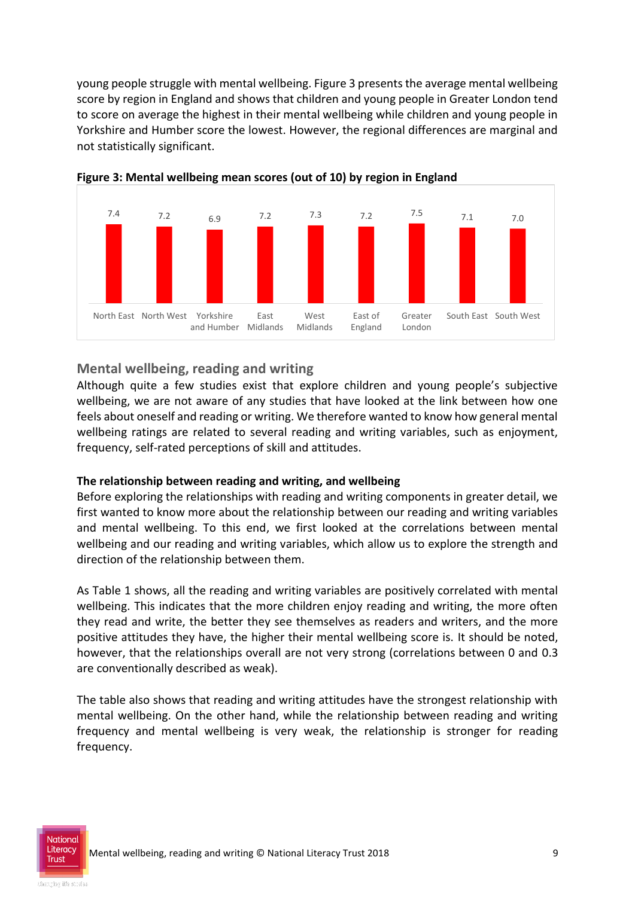young people struggle with mental wellbeing. Figure 3 presents the average mental wellbeing score by region in England and shows that children and young people in Greater London tend to score on average the highest in their mental wellbeing while children and young people in Yorkshire and Humber score the lowest. However, the regional differences are marginal and not statistically significant.



**Figure 3: Mental wellbeing mean scores (out of 10) by region in England** 

#### **Mental wellbeing, reading and writing**

Although quite a few studies exist that explore children and young people's subjective wellbeing, we are not aware of any studies that have looked at the link between how one feels about oneself and reading or writing. We therefore wanted to know how general mental wellbeing ratings are related to several reading and writing variables, such as enjoyment, frequency, self-rated perceptions of skill and attitudes.

#### **The relationship between reading and writing, and wellbeing**

Before exploring the relationships with reading and writing components in greater detail, we first wanted to know more about the relationship between our reading and writing variables and mental wellbeing. To this end, we first looked at the correlations between mental wellbeing and our reading and writing variables, which allow us to explore the strength and direction of the relationship between them.

As Table 1 shows, all the reading and writing variables are positively correlated with mental wellbeing. This indicates that the more children enjoy reading and writing, the more often they read and write, the better they see themselves as readers and writers, and the more positive attitudes they have, the higher their mental wellbeing score is. It should be noted, however, that the relationships overall are not very strong (correlations between 0 and 0.3 are conventionally described as weak).

The table also shows that reading and writing attitudes have the strongest relationship with mental wellbeing. On the other hand, while the relationship between reading and writing frequency and mental wellbeing is very weak, the relationship is stronger for reading frequency.

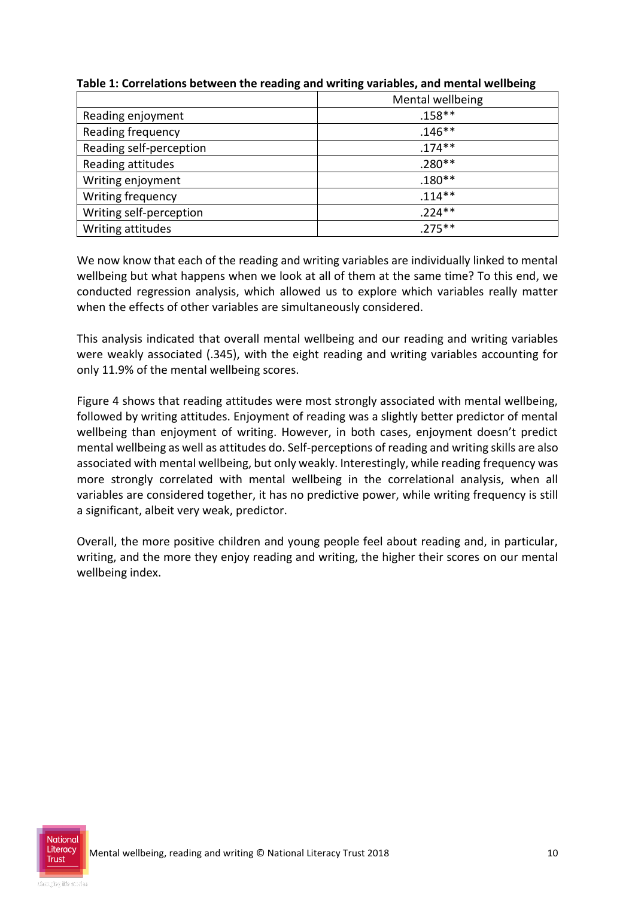|                         | Mental wellbeing |
|-------------------------|------------------|
| Reading enjoyment       | $.158**$         |
| Reading frequency       | $.146**$         |
| Reading self-perception | $.174**$         |
| Reading attitudes       | $.280**$         |
| Writing enjoyment       | $.180**$         |
| Writing frequency       | $.114***$        |
| Writing self-perception | $.224**$         |
| Writing attitudes       | $.275***$        |

**Table 1: Correlations between the reading and writing variables, and mental wellbeing**

We now know that each of the reading and writing variables are individually linked to mental wellbeing but what happens when we look at all of them at the same time? To this end, we conducted regression analysis, which allowed us to explore which variables really matter when the effects of other variables are simultaneously considered.

This analysis indicated that overall mental wellbeing and our reading and writing variables were weakly associated (.345), with the eight reading and writing variables accounting for only 11.9% of the mental wellbeing scores.

Figure 4 shows that reading attitudes were most strongly associated with mental wellbeing, followed by writing attitudes. Enjoyment of reading was a slightly better predictor of mental wellbeing than enjoyment of writing. However, in both cases, enjoyment doesn't predict mental wellbeing as well as attitudes do. Self-perceptions of reading and writing skills are also associated with mental wellbeing, but only weakly. Interestingly, while reading frequency was more strongly correlated with mental wellbeing in the correlational analysis, when all variables are considered together, it has no predictive power, while writing frequency is still a significant, albeit very weak, predictor.

Overall, the more positive children and young people feel about reading and, in particular, writing, and the more they enjoy reading and writing, the higher their scores on our mental wellbeing index.

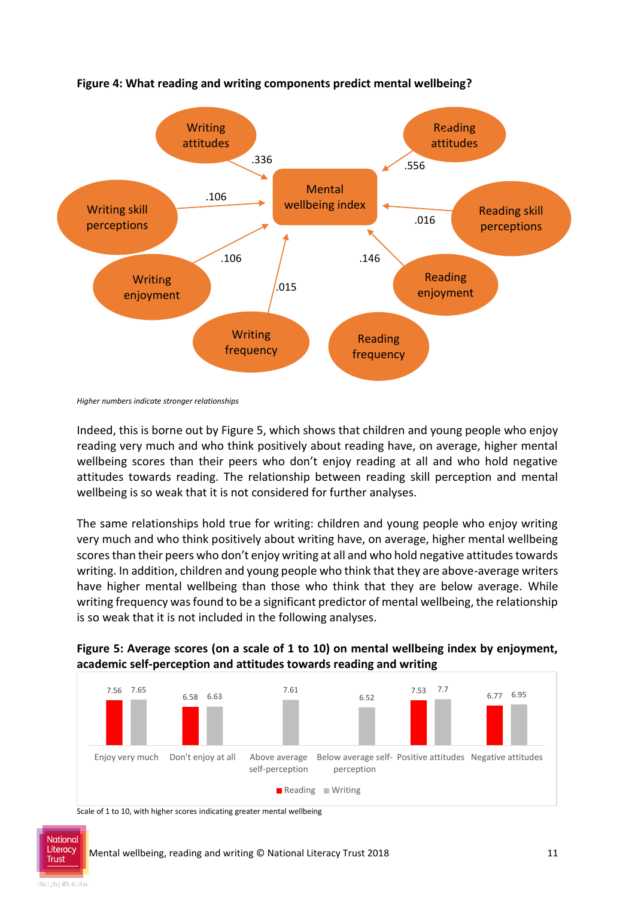

#### **Figure 4: What reading and writing components predict mental wellbeing?**

Indeed, this is borne out by Figure 5, which shows that children and young people who enjoy reading very much and who think positively about reading have, on average, higher mental wellbeing scores than their peers who don't enjoy reading at all and who hold negative attitudes towards reading. The relationship between reading skill perception and mental wellbeing is so weak that it is not considered for further analyses.

The same relationships hold true for writing: children and young people who enjoy writing very much and who think positively about writing have, on average, higher mental wellbeing scores than their peers who don't enjoy writing at all and who hold negative attitudes towards writing. In addition, children and young people who think that they are above-average writers have higher mental wellbeing than those who think that they are below average. While writing frequency was found to be a significant predictor of mental wellbeing, the relationship is so weak that it is not included in the following analyses.



#### **Figure 5: Average scores (on a scale of 1 to 10) on mental wellbeing index by enjoyment, academic self-perception and attitudes towards reading and writing**

Scale of 1 to 10, with higher scores indicating greater mental wellbeing

National **Trust** 

*Higher numbers indicate stronger relationships*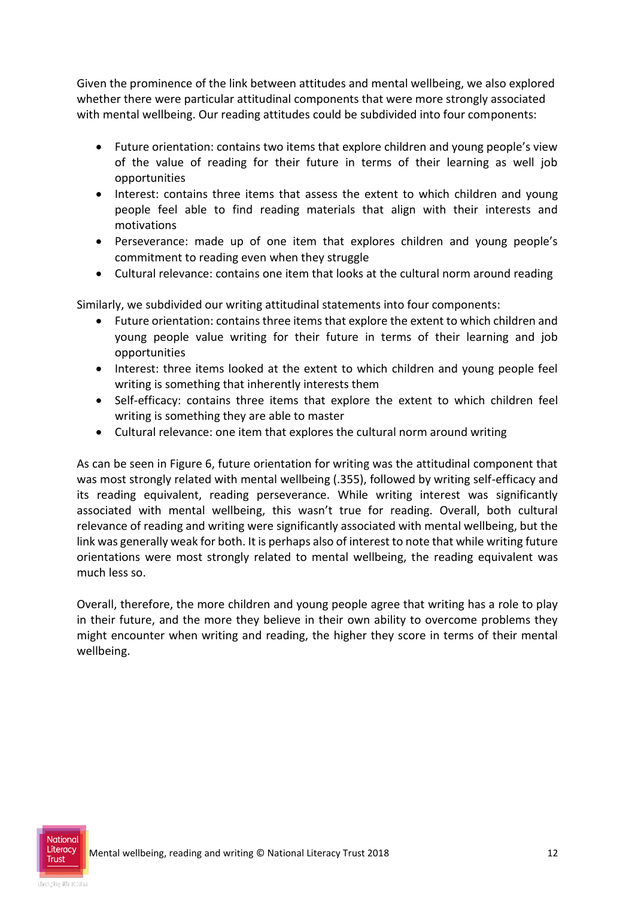Given the prominence of the link between attitudes and mental wellbeing, we also explored whether there were particular attitudinal components that were more strongly associated with mental wellbeing. Our reading attitudes could be subdivided into four components:

- Future orientation: contains two items that explore children and young people's view of the value of reading for their future in terms of their learning as well job opportunities
- Interest: contains three items that assess the extent to which children and young people feel able to find reading materials that align with their interests and motivations
- Perseverance: made up of one item that explores children and young people's commitment to reading even when they struggle
- Cultural relevance: contains one item that looks at the cultural norm around reading

Similarly, we subdivided our writing attitudinal statements into four components:

- Future orientation: contains three items that explore the extent to which children and young people value writing for their future in terms of their learning and job opportunities
- Interest: three items looked at the extent to which children and young people feel writing is something that inherently interests them
- Self-efficacy: contains three items that explore the extent to which children feel writing is something they are able to master
- Cultural relevance: one item that explores the cultural norm around writing

As can be seen in Figure 6, future orientation for writing was the attitudinal component that was most strongly related with mental wellbeing (.355), followed by writing self-efficacy and its reading equivalent, reading perseverance. While writing interest was significantly associated with mental wellbeing, this wasn't true for reading. Overall, both cultural relevance of reading and writing were significantly associated with mental wellbeing, but the link was generally weak for both. It is perhaps also of interest to note that while writing future orientations were most strongly related to mental wellbeing, the reading equivalent was much less so.

Overall, therefore, the more children and young people agree that writing has a role to play in their future, and the more they believe in their own ability to overcome problems they might encounter when writing and reading, the higher they score in terms of their mental wellbeing.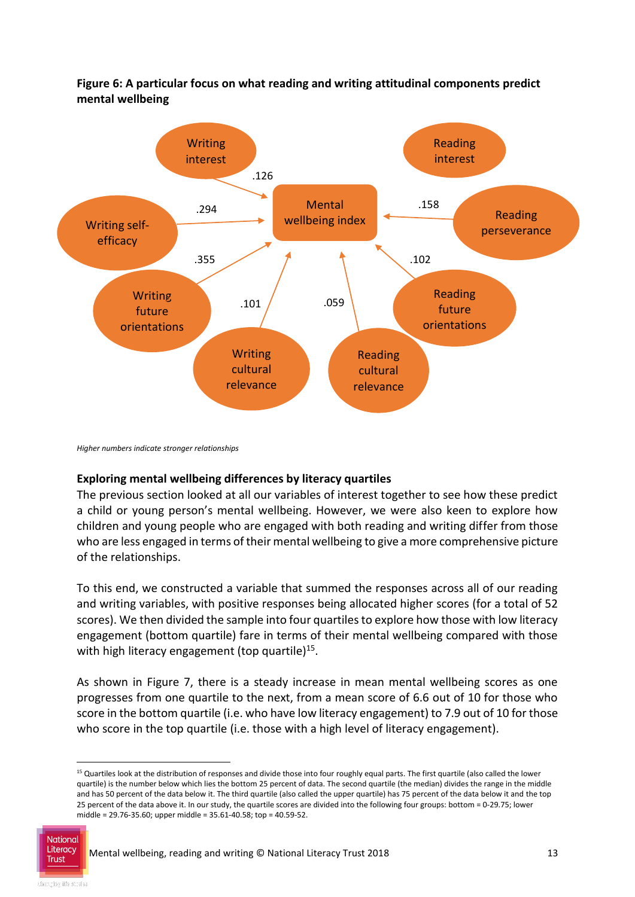

**Figure 6: A particular focus on what reading and writing attitudinal components predict mental wellbeing**

*Higher numbers indicate stronger relationships*

#### **Exploring mental wellbeing differences by literacy quartiles**

The previous section looked at all our variables of interest together to see how these predict a child or young person's mental wellbeing. However, we were also keen to explore how children and young people who are engaged with both reading and writing differ from those who are less engaged in terms of their mental wellbeing to give a more comprehensive picture of the relationships.

To this end, we constructed a variable that summed the responses across all of our reading and writing variables, with positive responses being allocated higher scores (for a total of 52 scores). We then divided the sample into four quartiles to explore how those with low literacy engagement (bottom quartile) fare in terms of their mental wellbeing compared with those with high literacy engagement (top quartile)<sup>15</sup>.

As shown in Figure 7, there is a steady increase in mean mental wellbeing scores as one progresses from one quartile to the next, from a mean score of 6.6 out of 10 for those who score in the bottom quartile (i.e. who have low literacy engagement) to 7.9 out of 10 for those who score in the top quartile (i.e. those with a high level of literacy engagement).

<sup>&</sup>lt;sup>15</sup> Quartiles look at the distribution of responses and divide those into four roughly equal parts. The first quartile (also called the lower quartile) is the number below which lies the bottom 25 percent of data. The second quartile (the median) divides the range in the middle and has 50 percent of the data below it. The third quartile (also called the upper quartile) has 75 percent of the data below it and the top 25 percent of the data above it. In our study, the quartile scores are divided into the following four groups: bottom = 0-29.75; lower middle = 29.76-35.60; upper middle = 35.61-40.58; top = 40.59-52.



1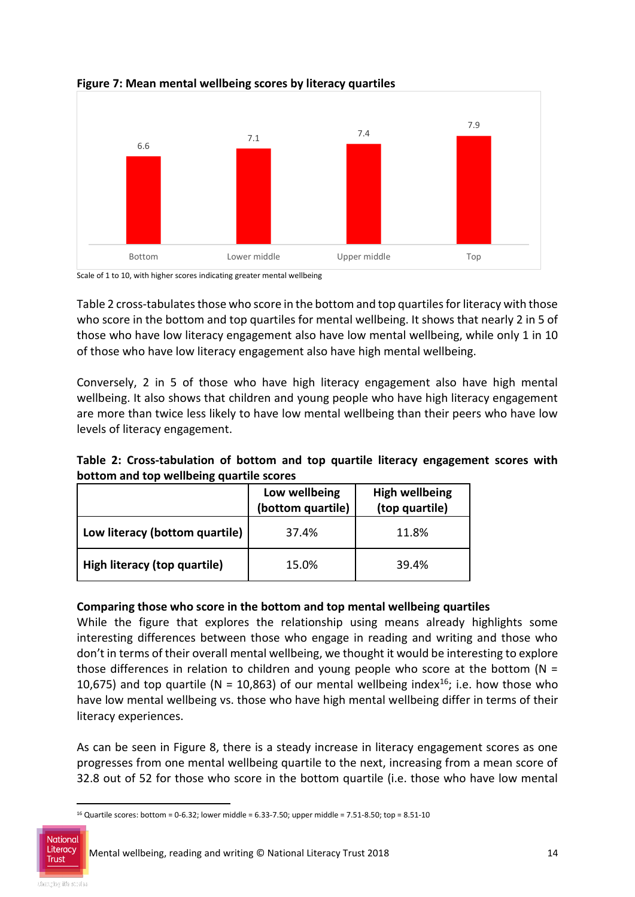

**Figure 7: Mean mental wellbeing scores by literacy quartiles**

Scale of 1 to 10, with higher scores indicating greater mental wellbeing

Table 2 cross-tabulates those who score in the bottom and top quartiles for literacy with those who score in the bottom and top quartiles for mental wellbeing. It shows that nearly 2 in 5 of those who have low literacy engagement also have low mental wellbeing, while only 1 in 10 of those who have low literacy engagement also have high mental wellbeing.

Conversely, 2 in 5 of those who have high literacy engagement also have high mental wellbeing. It also shows that children and young people who have high literacy engagement are more than twice less likely to have low mental wellbeing than their peers who have low levels of literacy engagement.

| Table 2: Cross-tabulation of bottom and top quartile literacy engagement scores with |  |  |  |  |
|--------------------------------------------------------------------------------------|--|--|--|--|
| bottom and top wellbeing quartile scores                                             |  |  |  |  |

|                                | Low wellbeing<br>(bottom quartile) | <b>High wellbeing</b><br>(top quartile) |
|--------------------------------|------------------------------------|-----------------------------------------|
| Low literacy (bottom quartile) | 37.4%                              | 11.8%                                   |
| High literacy (top quartile)   | 15.0%                              | 39.4%                                   |

#### **Comparing those who score in the bottom and top mental wellbeing quartiles**

While the figure that explores the relationship using means already highlights some interesting differences between those who engage in reading and writing and those who don't in terms of their overall mental wellbeing, we thought it would be interesting to explore those differences in relation to children and young people who score at the bottom ( $N =$ 10,675) and top quartile (N = 10,863) of our mental wellbeing index<sup>16</sup>; i.e. how those who have low mental wellbeing vs. those who have high mental wellbeing differ in terms of their literacy experiences.

As can be seen in Figure 8, there is a steady increase in literacy engagement scores as one progresses from one mental wellbeing quartile to the next, increasing from a mean score of 32.8 out of 52 for those who score in the bottom quartile (i.e. those who have low mental

<sup>-</sup><sup>16</sup> Quartile scores: bottom = 0-6.32; lower middle = 6.33-7.50; upper middle = 7.51-8.50; top = 8.51-10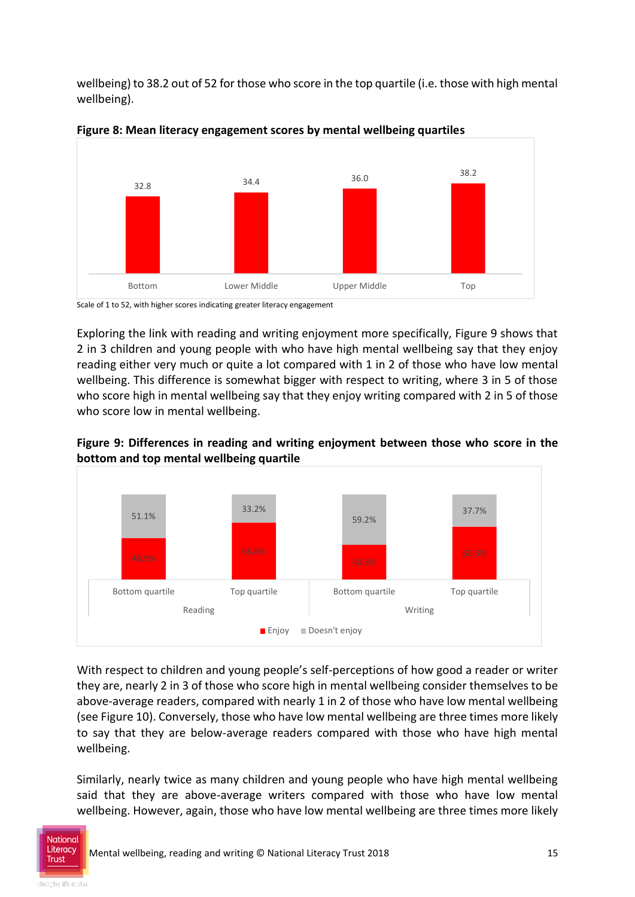wellbeing) to 38.2 out of 52 for those who score in the top quartile (i.e. those with high mental wellbeing).



**Figure 8: Mean literacy engagement scores by mental wellbeing quartiles**

Scale of 1 to 52, with higher scores indicating greater literacy engagement

Exploring the link with reading and writing enjoyment more specifically, Figure 9 shows that 2 in 3 children and young people with who have high mental wellbeing say that they enjoy reading either very much or quite a lot compared with 1 in 2 of those who have low mental wellbeing. This difference is somewhat bigger with respect to writing, where 3 in 5 of those who score high in mental wellbeing say that they enjoy writing compared with 2 in 5 of those who score low in mental wellbeing.



**Figure 9: Differences in reading and writing enjoyment between those who score in the bottom and top mental wellbeing quartile**

With respect to children and young people's self-perceptions of how good a reader or writer they are, nearly 2 in 3 of those who score high in mental wellbeing consider themselves to be above-average readers, compared with nearly 1 in 2 of those who have low mental wellbeing (see Figure 10). Conversely, those who have low mental wellbeing are three times more likely to say that they are below-average readers compared with those who have high mental wellbeing.

Similarly, nearly twice as many children and young people who have high mental wellbeing said that they are above-average writers compared with those who have low mental wellbeing. However, again, those who have low mental wellbeing are three times more likely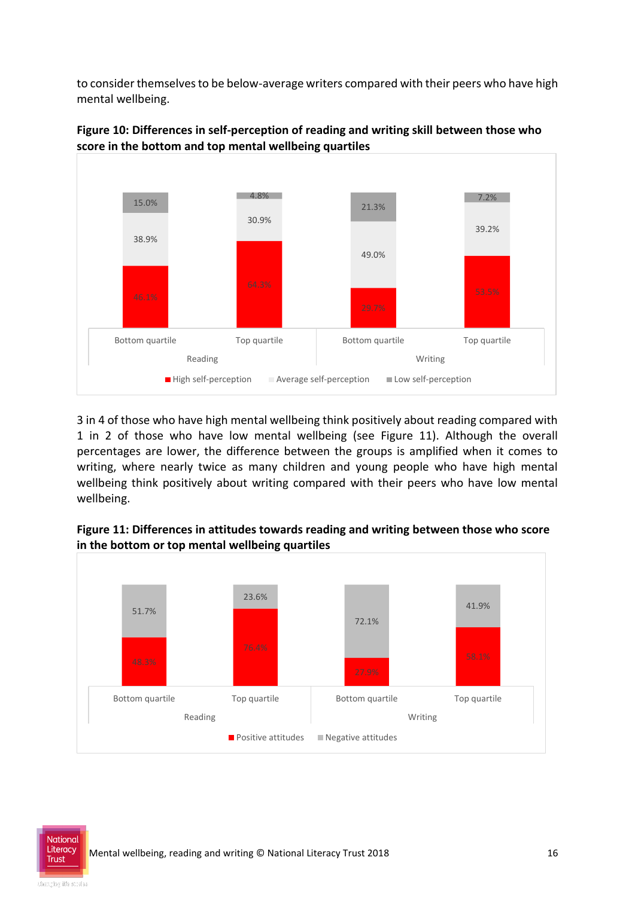to consider themselves to be below-average writers compared with their peers who have high mental wellbeing.





3 in 4 of those who have high mental wellbeing think positively about reading compared with 1 in 2 of those who have low mental wellbeing (see Figure 11). Although the overall percentages are lower, the difference between the groups is amplified when it comes to writing, where nearly twice as many children and young people who have high mental wellbeing think positively about writing compared with their peers who have low mental wellbeing.



**Figure 11: Differences in attitudes towards reading and writing between those who score in the bottom or top mental wellbeing quartiles**

National **Trust**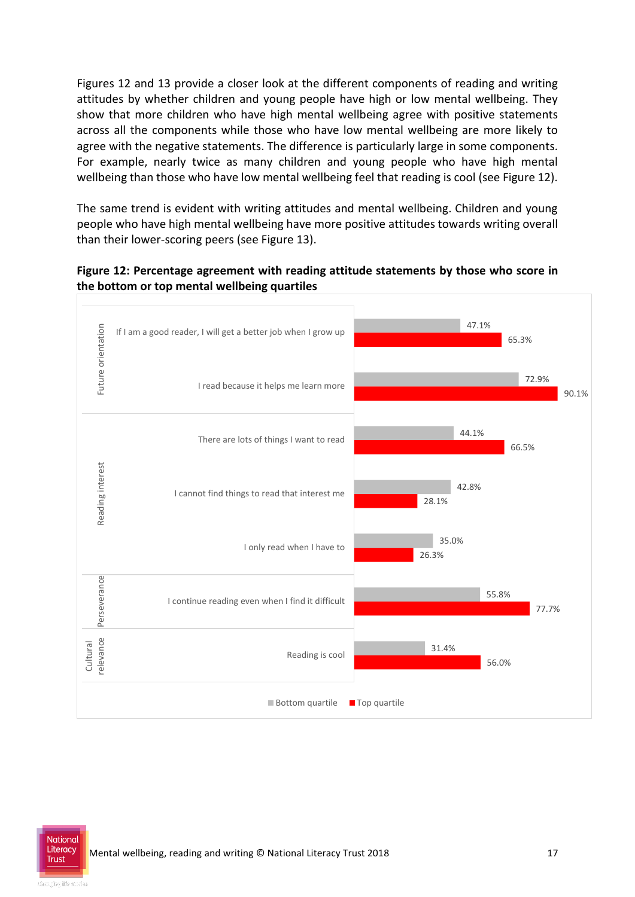Figures 12 and 13 provide a closer look at the different components of reading and writing attitudes by whether children and young people have high or low mental wellbeing. They show that more children who have high mental wellbeing agree with positive statements across all the components while those who have low mental wellbeing are more likely to agree with the negative statements. The difference is particularly large in some components. For example, nearly twice as many children and young people who have high mental wellbeing than those who have low mental wellbeing feel that reading is cool (see Figure 12).

The same trend is evident with writing attitudes and mental wellbeing. Children and young people who have high mental wellbeing have more positive attitudes towards writing overall than their lower-scoring peers (see Figure 13).

#### **Figure 12: Percentage agreement with reading attitude statements by those who score in the bottom or top mental wellbeing quartiles**



**Trust**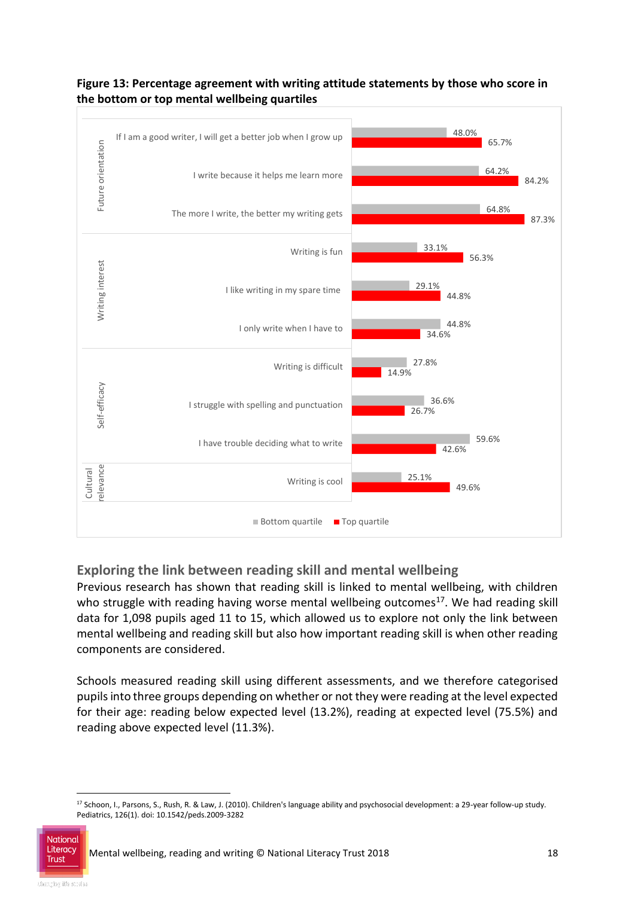

#### **Figure 13: Percentage agreement with writing attitude statements by those who score in the bottom or top mental wellbeing quartiles**

#### **Exploring the link between reading skill and mental wellbeing**

Previous research has shown that reading skill is linked to mental wellbeing, with children who struggle with reading having worse mental wellbeing outcomes<sup>17</sup>. We had reading skill data for 1,098 pupils aged 11 to 15, which allowed us to explore not only the link between mental wellbeing and reading skill but also how important reading skill is when other reading components are considered.

Schools measured reading skill using different assessments, and we therefore categorised pupils into three groups depending on whether or not they were reading at the level expected for their age: reading below expected level (13.2%), reading at expected level (75.5%) and reading above expected level (11.3%).

<sup>-</sup><sup>17</sup> Schoon, I., Parsons, S., Rush, R. & Law, J. (2010). Children's language ability and psychosocial development: a 29-year follow-up study. Pediatrics, 126(1). doi: 10.1542/peds.2009-3282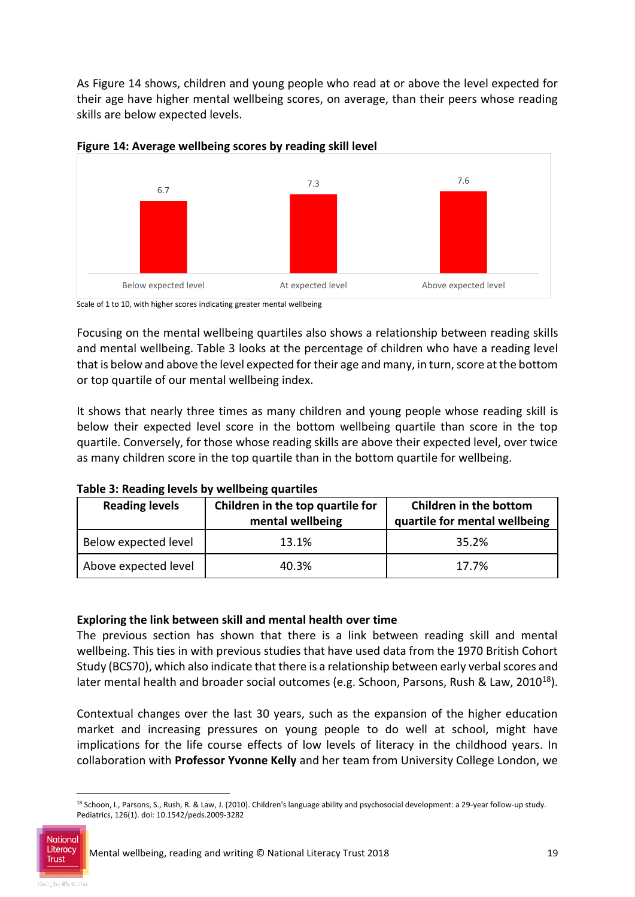As Figure 14 shows, children and young people who read at or above the level expected for their age have higher mental wellbeing scores, on average, than their peers whose reading skills are below expected levels.





Scale of 1 to 10, with higher scores indicating greater mental wellbeing

Focusing on the mental wellbeing quartiles also shows a relationship between reading skills and mental wellbeing. Table 3 looks at the percentage of children who have a reading level that is below and above the level expected for their age and many, in turn, score at the bottom or top quartile of our mental wellbeing index.

It shows that nearly three times as many children and young people whose reading skill is below their expected level score in the bottom wellbeing quartile than score in the top quartile. Conversely, for those whose reading skills are above their expected level, over twice as many children score in the top quartile than in the bottom quartile for wellbeing.

| <b>Reading levels</b> | Children in the top quartile for<br>mental wellbeing | Children in the bottom<br>quartile for mental wellbeing |
|-----------------------|------------------------------------------------------|---------------------------------------------------------|
| Below expected level  | 13.1%                                                | 35.2%                                                   |
| Above expected level  | 40.3%                                                | 17.7%                                                   |

**Table 3: Reading levels by wellbeing quartiles**

#### **Exploring the link between skill and mental health over time**

The previous section has shown that there is a link between reading skill and mental wellbeing. This ties in with previous studies that have used data from the 1970 British Cohort Study (BCS70), which also indicate that there is a relationship between early verbal scores and later mental health and broader social outcomes (e.g. Schoon, Parsons, Rush & Law, 2010<sup>18</sup>).

Contextual changes over the last 30 years, such as the expansion of the higher education market and increasing pressures on young people to do well at school, might have implications for the life course effects of low levels of literacy in the childhood years. In collaboration with **Professor Yvonne Kelly** and her team from University College London, we

-

<sup>&</sup>lt;sup>18</sup> Schoon, I., Parsons, S., Rush, R. & Law, J. (2010). Children's language ability and psychosocial development: a 29-year follow-up study. Pediatrics, 126(1). doi: 10.1542/peds.2009-3282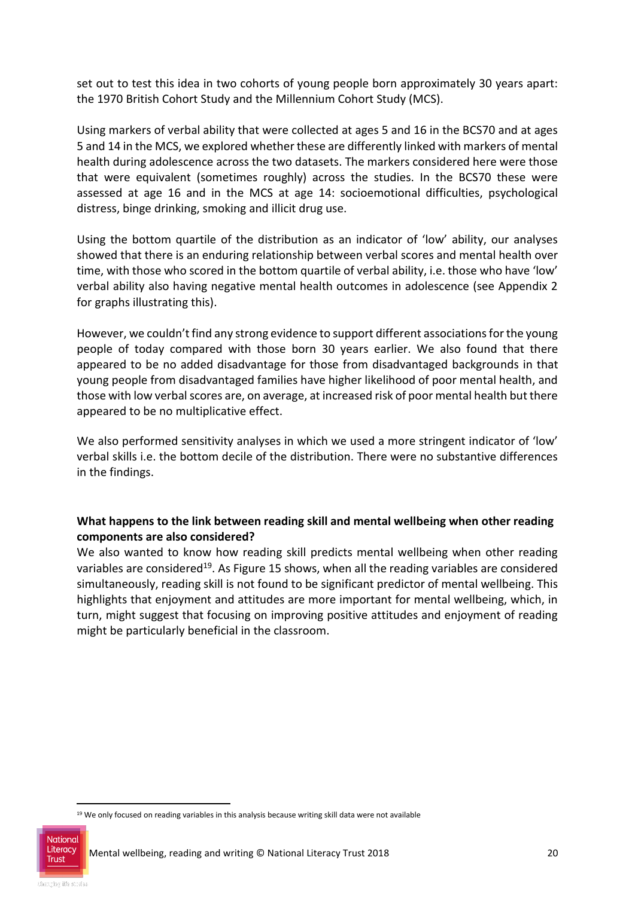set out to test this idea in two cohorts of young people born approximately 30 years apart: the 1970 British Cohort Study and the Millennium Cohort Study (MCS).

Using markers of verbal ability that were collected at ages 5 and 16 in the BCS70 and at ages 5 and 14 in the MCS, we explored whether these are differently linked with markers of mental health during adolescence across the two datasets. The markers considered here were those that were equivalent (sometimes roughly) across the studies. In the BCS70 these were assessed at age 16 and in the MCS at age 14: socioemotional difficulties, psychological distress, binge drinking, smoking and illicit drug use.

Using the bottom quartile of the distribution as an indicator of 'low' ability, our analyses showed that there is an enduring relationship between verbal scores and mental health over time, with those who scored in the bottom quartile of verbal ability, i.e. those who have 'low' verbal ability also having negative mental health outcomes in adolescence (see Appendix 2 for graphs illustrating this).

However, we couldn't find any strong evidence to support different associations for the young people of today compared with those born 30 years earlier. We also found that there appeared to be no added disadvantage for those from disadvantaged backgrounds in that young people from disadvantaged families have higher likelihood of poor mental health, and those with low verbal scores are, on average, at increased risk of poor mental health but there appeared to be no multiplicative effect.

We also performed sensitivity analyses in which we used a more stringent indicator of 'low' verbal skills i.e. the bottom decile of the distribution. There were no substantive differences in the findings.

#### **What happens to the link between reading skill and mental wellbeing when other reading components are also considered?**

We also wanted to know how reading skill predicts mental wellbeing when other reading variables are considered<sup>19</sup>. As Figure 15 shows, when all the reading variables are considered simultaneously, reading skill is not found to be significant predictor of mental wellbeing. This highlights that enjoyment and attitudes are more important for mental wellbeing, which, in turn, might suggest that focusing on improving positive attitudes and enjoyment of reading might be particularly beneficial in the classroom.

-

<sup>&</sup>lt;sup>19</sup> We only focused on reading variables in this analysis because writing skill data were not available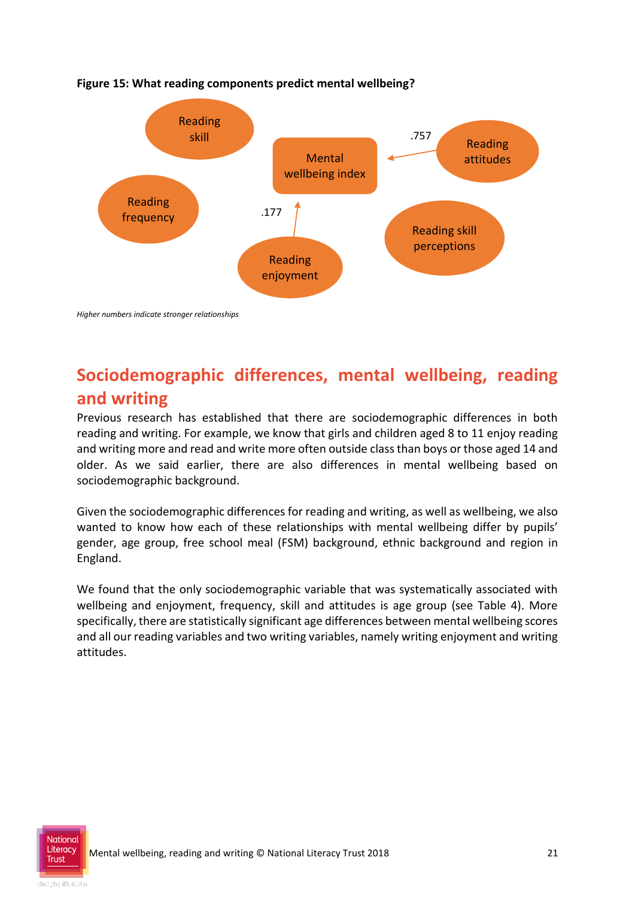

#### **Figure 15: What reading components predict mental wellbeing?**

*Higher numbers indicate stronger relationships*

## **Sociodemographic differences, mental wellbeing, reading and writing**

Previous research has established that there are sociodemographic differences in both reading and writing. For example, we know that girls and children aged 8 to 11 enjoy reading and writing more and read and write more often outside class than boys or those aged 14 and older. As we said earlier, there are also differences in mental wellbeing based on sociodemographic background.

Given the sociodemographic differences for reading and writing, as well as wellbeing, we also wanted to know how each of these relationships with mental wellbeing differ by pupils' gender, age group, free school meal (FSM) background, ethnic background and region in England.

We found that the only sociodemographic variable that was systematically associated with wellbeing and enjoyment, frequency, skill and attitudes is age group (see Table 4). More specifically, there are statistically significant age differences between mental wellbeing scores and all our reading variables and two writing variables, namely writing enjoyment and writing attitudes.

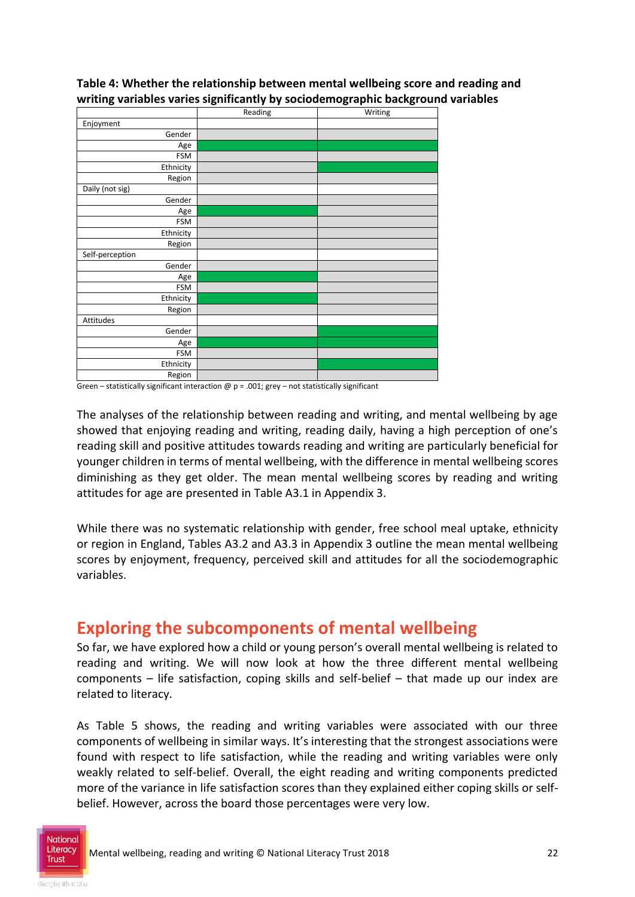|                 | Reading | Writing |
|-----------------|---------|---------|
| Enjoyment       |         |         |
| Gender          |         |         |
| Age             |         |         |
| <b>FSM</b>      |         |         |
| Ethnicity       |         |         |
| Region          |         |         |
| Daily (not sig) |         |         |
| Gender          |         |         |
| Age             |         |         |
| <b>FSM</b>      |         |         |
| Ethnicity       |         |         |
| Region          |         |         |
| Self-perception |         |         |
| Gender          |         |         |
| Age             |         |         |
| <b>FSM</b>      |         |         |
| Ethnicity       |         |         |
| Region          |         |         |
| Attitudes       |         |         |
| Gender          |         |         |
| Age             |         |         |
| <b>FSM</b>      |         |         |
| Ethnicity       |         |         |
| Region          |         |         |

**Table 4: Whether the relationship between mental wellbeing score and reading and writing variables varies significantly by sociodemographic background variables** 

Green – statistically significant interaction  $\omega$  p = .001; grey – not statistically significant

The analyses of the relationship between reading and writing, and mental wellbeing by age showed that enjoying reading and writing, reading daily, having a high perception of one's reading skill and positive attitudes towards reading and writing are particularly beneficial for younger children in terms of mental wellbeing, with the difference in mental wellbeing scores diminishing as they get older. The mean mental wellbeing scores by reading and writing attitudes for age are presented in Table A3.1 in Appendix 3.

While there was no systematic relationship with gender, free school meal uptake, ethnicity or region in England, Tables A3.2 and A3.3 in Appendix 3 outline the mean mental wellbeing scores by enjoyment, frequency, perceived skill and attitudes for all the sociodemographic variables.

### **Exploring the subcomponents of mental wellbeing**

So far, we have explored how a child or young person's overall mental wellbeing is related to reading and writing. We will now look at how the three different mental wellbeing components – life satisfaction, coping skills and self-belief – that made up our index are related to literacy.

As Table 5 shows, the reading and writing variables were associated with our three components of wellbeing in similar ways. It's interesting that the strongest associations were found with respect to life satisfaction, while the reading and writing variables were only weakly related to self-belief. Overall, the eight reading and writing components predicted more of the variance in life satisfaction scores than they explained either coping skills or selfbelief. However, across the board those percentages were very low.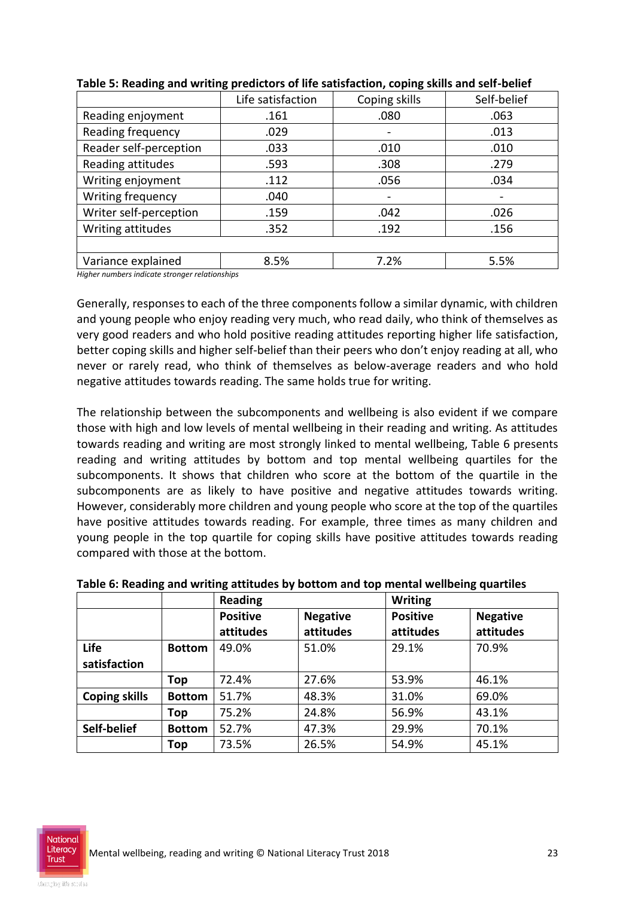|                        | Life satisfaction | Coping skills            | Self-belief |
|------------------------|-------------------|--------------------------|-------------|
| Reading enjoyment      | .161              | .080                     | .063        |
| Reading frequency      | .029              | $\overline{\phantom{0}}$ | .013        |
| Reader self-perception | .033              | .010                     | .010        |
| Reading attitudes      | .593              | .308                     | .279        |
| Writing enjoyment      | .112              | .056                     | .034        |
| Writing frequency      | .040              | $\overline{\phantom{a}}$ |             |
| Writer self-perception | .159              | .042                     | .026        |
| Writing attitudes      | .352              | .192                     | .156        |
|                        |                   |                          |             |
| Variance explained     | 8.5%              | 7.2%                     | 5.5%        |

|  | Table 5: Reading and writing predictors of life satisfaction, coping skills and self-belief |  |
|--|---------------------------------------------------------------------------------------------|--|
|--|---------------------------------------------------------------------------------------------|--|

*Higher numbers indicate stronger relationships*

Generally, responses to each of the three components follow a similar dynamic, with children and young people who enjoy reading very much, who read daily, who think of themselves as very good readers and who hold positive reading attitudes reporting higher life satisfaction, better coping skills and higher self-belief than their peers who don't enjoy reading at all, who never or rarely read, who think of themselves as below-average readers and who hold negative attitudes towards reading. The same holds true for writing.

The relationship between the subcomponents and wellbeing is also evident if we compare those with high and low levels of mental wellbeing in their reading and writing. As attitudes towards reading and writing are most strongly linked to mental wellbeing, Table 6 presents reading and writing attitudes by bottom and top mental wellbeing quartiles for the subcomponents. It shows that children who score at the bottom of the quartile in the subcomponents are as likely to have positive and negative attitudes towards writing. However, considerably more children and young people who score at the top of the quartiles have positive attitudes towards reading. For example, three times as many children and young people in the top quartile for coping skills have positive attitudes towards reading compared with those at the bottom.

|                      |               | <b>Reading</b>               |                              | <b>Writing</b>               |                              |  |
|----------------------|---------------|------------------------------|------------------------------|------------------------------|------------------------------|--|
|                      |               | <b>Positive</b><br>attitudes | <b>Negative</b><br>attitudes | <b>Positive</b><br>attitudes | <b>Negative</b><br>attitudes |  |
| Life<br>satisfaction | <b>Bottom</b> | 49.0%                        | 51.0%                        | 29.1%                        | 70.9%                        |  |
|                      | Top           | 72.4%                        | 27.6%                        | 53.9%                        | 46.1%                        |  |
| <b>Coping skills</b> | <b>Bottom</b> | 51.7%                        | 48.3%                        | 31.0%                        | 69.0%                        |  |
|                      | Top           | 75.2%                        | 24.8%                        | 56.9%                        | 43.1%                        |  |
| Self-belief          | <b>Bottom</b> | 52.7%                        | 47.3%                        | 29.9%                        | 70.1%                        |  |
|                      | Top           | 73.5%                        | 26.5%                        | 54.9%                        | 45.1%                        |  |

**Table 6: Reading and writing attitudes by bottom and top mental wellbeing quartiles**

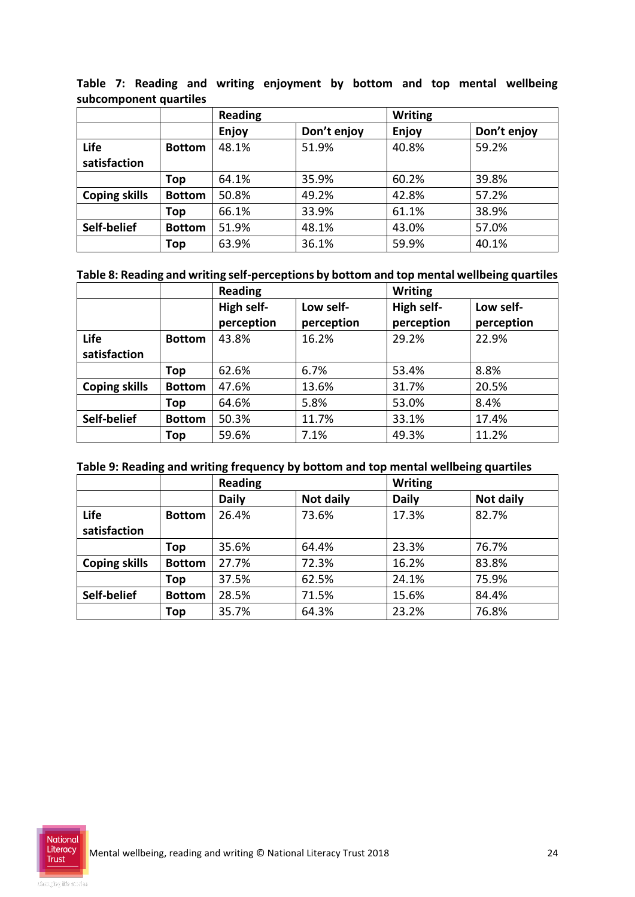**Table 7: Reading and writing enjoyment by bottom and top mental wellbeing subcomponent quartiles**

|                      |               | <b>Reading</b> |             | <b>Writing</b> |             |
|----------------------|---------------|----------------|-------------|----------------|-------------|
|                      |               | Enjoy          | Don't enjoy | Enjoy          | Don't enjoy |
| Life                 | <b>Bottom</b> | 48.1%          | 51.9%       | 40.8%          | 59.2%       |
| satisfaction         |               |                |             |                |             |
|                      | Top           | 64.1%          | 35.9%       | 60.2%          | 39.8%       |
| <b>Coping skills</b> | <b>Bottom</b> | 50.8%          | 49.2%       | 42.8%          | 57.2%       |
|                      | Top           | 66.1%          | 33.9%       | 61.1%          | 38.9%       |
| Self-belief          | <b>Bottom</b> | 51.9%          | 48.1%       | 43.0%          | 57.0%       |
|                      | Top           | 63.9%          | 36.1%       | 59.9%          | 40.1%       |

#### **Table 8: Reading and writing self-perceptions by bottom and top mental wellbeing quartiles**

|                      |               | <b>Reading</b> |            | <b>Writing</b> |            |
|----------------------|---------------|----------------|------------|----------------|------------|
|                      |               | High self-     | Low self-  | High self-     | Low self-  |
|                      |               | perception     | perception | perception     | perception |
| Life                 | <b>Bottom</b> | 43.8%          | 16.2%      | 29.2%          | 22.9%      |
| satisfaction         |               |                |            |                |            |
|                      | Top           | 62.6%          | 6.7%       | 53.4%          | 8.8%       |
| <b>Coping skills</b> | <b>Bottom</b> | 47.6%          | 13.6%      | 31.7%          | 20.5%      |
|                      | Top           | 64.6%          | 5.8%       | 53.0%          | 8.4%       |
| Self-belief          | <b>Bottom</b> | 50.3%          | 11.7%      | 33.1%          | 17.4%      |
|                      | Top           | 59.6%          | 7.1%       | 49.3%          | 11.2%      |

#### **Table 9: Reading and writing frequency by bottom and top mental wellbeing quartiles**

|                      |               | <b>Reading</b> |           | <b>Writing</b> |           |
|----------------------|---------------|----------------|-----------|----------------|-----------|
|                      |               | <b>Daily</b>   | Not daily | <b>Daily</b>   | Not daily |
| Life                 | <b>Bottom</b> | 26.4%          | 73.6%     | 17.3%          | 82.7%     |
| satisfaction         |               |                |           |                |           |
|                      | Top           | 35.6%          | 64.4%     | 23.3%          | 76.7%     |
| <b>Coping skills</b> | <b>Bottom</b> | 27.7%          | 72.3%     | 16.2%          | 83.8%     |
|                      | Top           | 37.5%          | 62.5%     | 24.1%          | 75.9%     |
| Self-belief          | <b>Bottom</b> | 28.5%          | 71.5%     | 15.6%          | 84.4%     |
|                      | Top           | 35.7%          | 64.3%     | 23.2%          | 76.8%     |

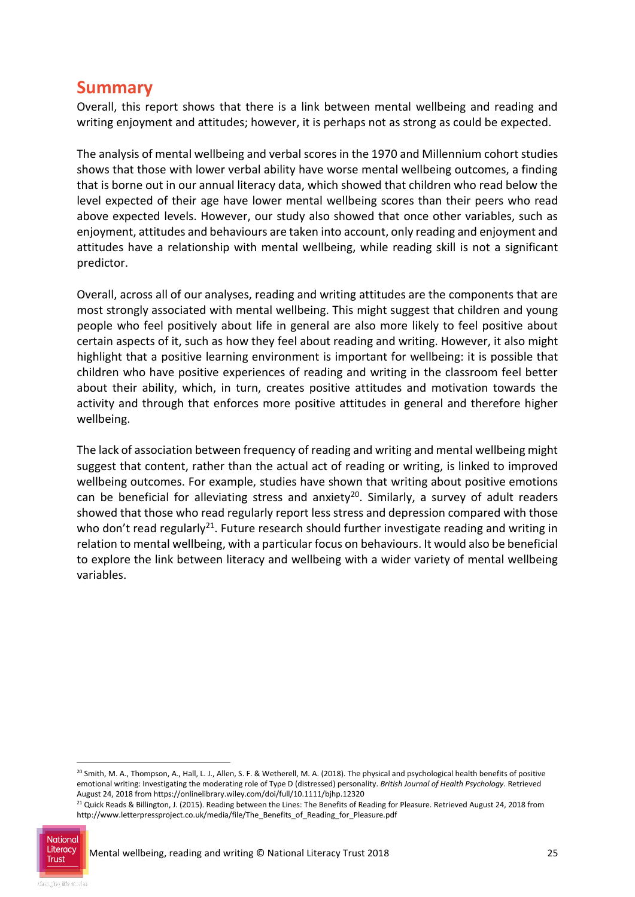### **Summary**

Overall, this report shows that there is a link between mental wellbeing and reading and writing enjoyment and attitudes; however, it is perhaps not as strong as could be expected.

The analysis of mental wellbeing and verbal scores in the 1970 and Millennium cohort studies shows that those with lower verbal ability have worse mental wellbeing outcomes, a finding that is borne out in our annual literacy data, which showed that children who read below the level expected of their age have lower mental wellbeing scores than their peers who read above expected levels. However, our study also showed that once other variables, such as enjoyment, attitudes and behaviours are taken into account, only reading and enjoyment and attitudes have a relationship with mental wellbeing, while reading skill is not a significant predictor.

Overall, across all of our analyses, reading and writing attitudes are the components that are most strongly associated with mental wellbeing. This might suggest that children and young people who feel positively about life in general are also more likely to feel positive about certain aspects of it, such as how they feel about reading and writing. However, it also might highlight that a positive learning environment is important for wellbeing: it is possible that children who have positive experiences of reading and writing in the classroom feel better about their ability, which, in turn, creates positive attitudes and motivation towards the activity and through that enforces more positive attitudes in general and therefore higher wellbeing.

The lack of association between frequency of reading and writing and mental wellbeing might suggest that content, rather than the actual act of reading or writing, is linked to improved wellbeing outcomes. For example, studies have shown that writing about positive emotions can be beneficial for alleviating stress and anxiety<sup>20</sup>. Similarly, a survey of adult readers showed that those who read regularly report less stress and depression compared with those who don't read regularly<sup>21</sup>. Future research should further investigate reading and writing in relation to mental wellbeing, with a particular focus on behaviours. It would also be beneficial to explore the link between literacy and wellbeing with a wider variety of mental wellbeing variables.

<sup>&</sup>lt;sup>21</sup> Quick Reads & Billington, J. (2015). Reading between the Lines: The Benefits of Reading for Pleasure. Retrieved August 24, 2018 from http://www.letterpressproject.co.uk/media/file/The\_Benefits\_of\_Reading\_for\_Pleasure.pdf



1

<sup>&</sup>lt;sup>20</sup> Smith, M. A., Thompson, A., Hall, L. J., Allen, S. F. & Wetherell, M. A. (2018). The physical and psychological health benefits of positive emotional writing: Investigating the moderating role of Type D (distressed) personality. *British Journal of Health Psychology.* Retrieved August 24, 2018 from https://onlinelibrary.wiley.com/doi/full/10.1111/bjhp.12320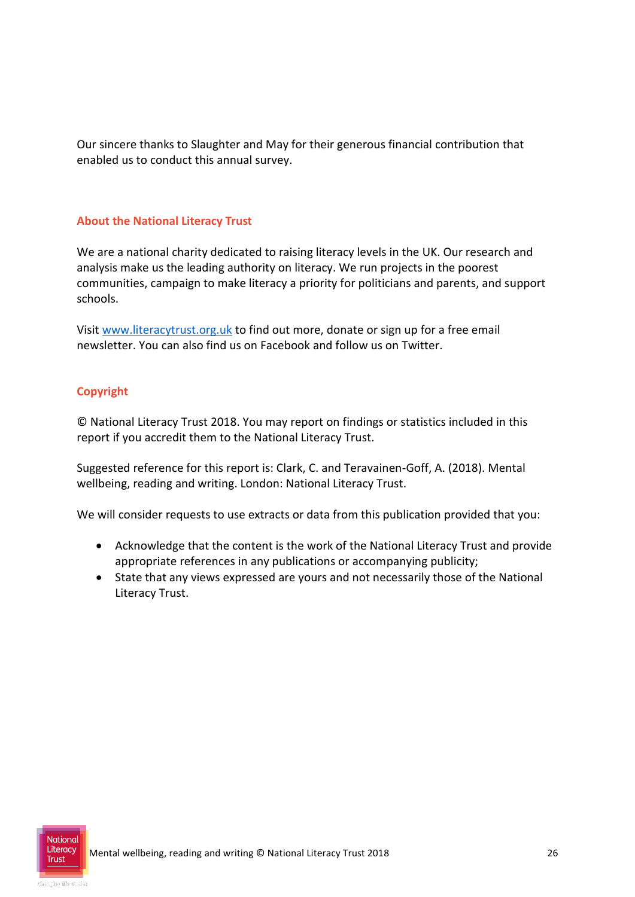Our sincere thanks to Slaughter and May for their generous financial contribution that enabled us to conduct this annual survey.

#### **About the National Literacy Trust**

We are a national charity dedicated to raising literacy levels in the UK. Our research and analysis make us the leading authority on literacy. We run projects in the poorest communities, campaign to make literacy a priority for politicians and parents, and support schools.

Visi[t www.literacytrust.org.uk](http://www.literacytrust.org.uk/) to find out more, donate or sign up for a free email newsletter. You can also find us on Facebook and follow us on Twitter.

#### **Copyright**

© National Literacy Trust 2018. You may report on findings or statistics included in this report if you accredit them to the National Literacy Trust.

Suggested reference for this report is: Clark, C. and Teravainen-Goff, A. (2018). Mental wellbeing, reading and writing. London: National Literacy Trust.

We will consider requests to use extracts or data from this publication provided that you:

- Acknowledge that the content is the work of the National Literacy Trust and provide appropriate references in any publications or accompanying publicity;
- State that any views expressed are yours and not necessarily those of the National Literacy Trust.

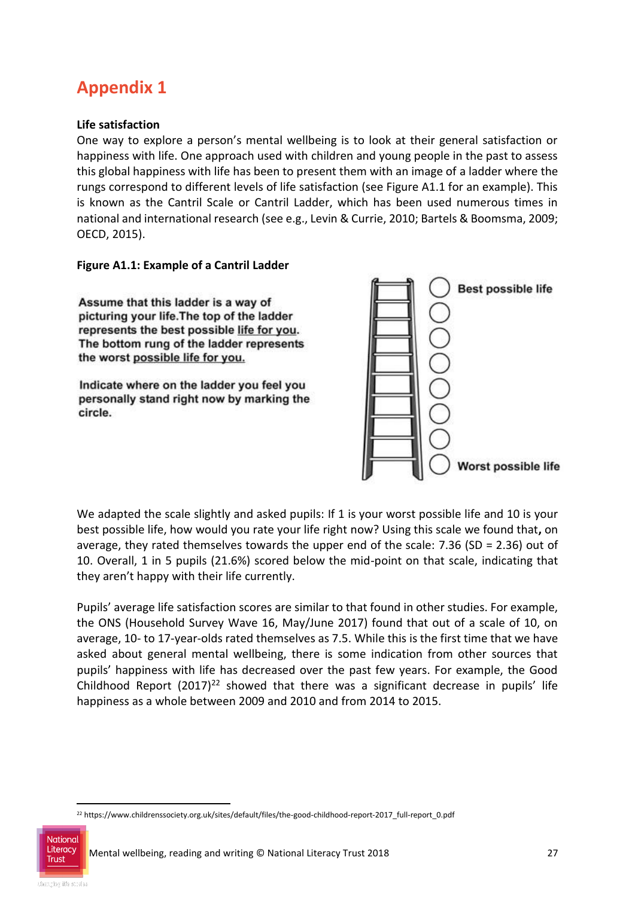## **Appendix 1**

#### **Life satisfaction**

One way to explore a person's mental wellbeing is to look at their general satisfaction or happiness with life. One approach used with children and young people in the past to assess this global happiness with life has been to present them with an image of a ladder where the rungs correspond to different levels of life satisfaction (see Figure A1.1 for an example). This is known as the Cantril Scale or Cantril Ladder, which has been used numerous times in national and international research (see e.g., Levin & Currie, 2010; Bartels & Boomsma, 2009; OECD, 2015).

**Figure A1.1: Example of a Cantril Ladder**

Assume that this ladder is a way of picturing your life. The top of the ladder represents the best possible life for you. The bottom rung of the ladder represents the worst possible life for you.

Indicate where on the ladder you feel you personally stand right now by marking the circle.



We adapted the scale slightly and asked pupils: If 1 is your worst possible life and 10 is your best possible life, how would you rate your life right now? Using this scale we found that**,** on average, they rated themselves towards the upper end of the scale: 7.36 (SD = 2.36) out of 10. Overall, 1 in 5 pupils (21.6%) scored below the mid-point on that scale, indicating that they aren't happy with their life currently.

Pupils' average life satisfaction scores are similar to that found in other studies. For example, the ONS (Household Survey Wave 16, May/June 2017) found that out of a scale of 10, on average, 10- to 17-year-olds rated themselves as 7.5. While this is the first time that we have asked about general mental wellbeing, there is some indication from other sources that pupils' happiness with life has decreased over the past few years. For example, the Good Childhood Report  $(2017)^{22}$  showed that there was a significant decrease in pupils' life happiness as a whole between 2009 and 2010 and from 2014 to 2015.

National **Trust** 

<sup>-</sup><sup>22</sup> https://www.childrenssociety.org.uk/sites/default/files/the-good-childhood-report-2017\_full-report\_0.pdf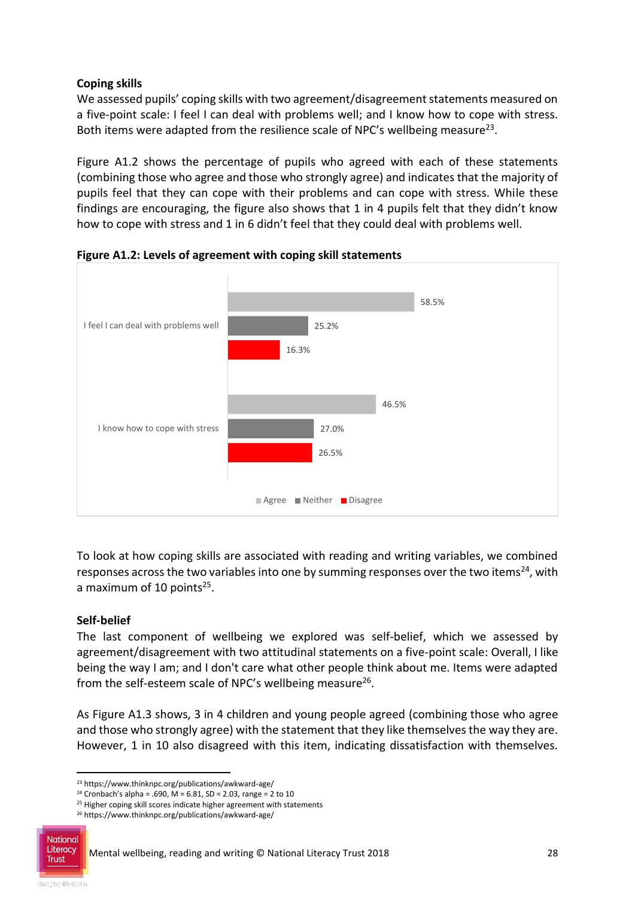#### **Coping skills**

We assessed pupils' coping skills with two agreement/disagreement statements measured on a five-point scale: I feel I can deal with problems well; and I know how to cope with stress. Both items were adapted from the resilience scale of NPC's wellbeing measure<sup>23</sup>.

Figure A1.2 shows the percentage of pupils who agreed with each of these statements (combining those who agree and those who strongly agree) and indicates that the majority of pupils feel that they can cope with their problems and can cope with stress. While these findings are encouraging, the figure also shows that 1 in 4 pupils felt that they didn't know how to cope with stress and 1 in 6 didn't feel that they could deal with problems well.



**Figure A1.2: Levels of agreement with coping skill statements**

To look at how coping skills are associated with reading and writing variables, we combined responses across the two variables into one by summing responses over the two items<sup>24</sup>, with a maximum of 10 points<sup>25</sup>.

#### **Self-belief**

The last component of wellbeing we explored was self-belief, which we assessed by agreement/disagreement with two attitudinal statements on a five-point scale: Overall, I like being the way I am; and I don't care what other people think about me. Items were adapted from the self-esteem scale of NPC's wellbeing measure<sup>26</sup>.

As Figure A1.3 shows, 3 in 4 children and young people agreed (combining those who agree and those who strongly agree) with the statement that they like themselves the way they are. However, 1 in 10 also disagreed with this item, indicating dissatisfaction with themselves.

<sup>26</sup> https://www.thinknpc.org/publications/awkward-age/



<sup>-</sup><sup>23</sup> https://www.thinknpc.org/publications/awkward-age/

<sup>&</sup>lt;sup>24</sup> Cronbach's alpha = .690, M = 6.81, SD = 2.03, range = 2 to 10

<sup>&</sup>lt;sup>25</sup> Higher coping skill scores indicate higher agreement with statements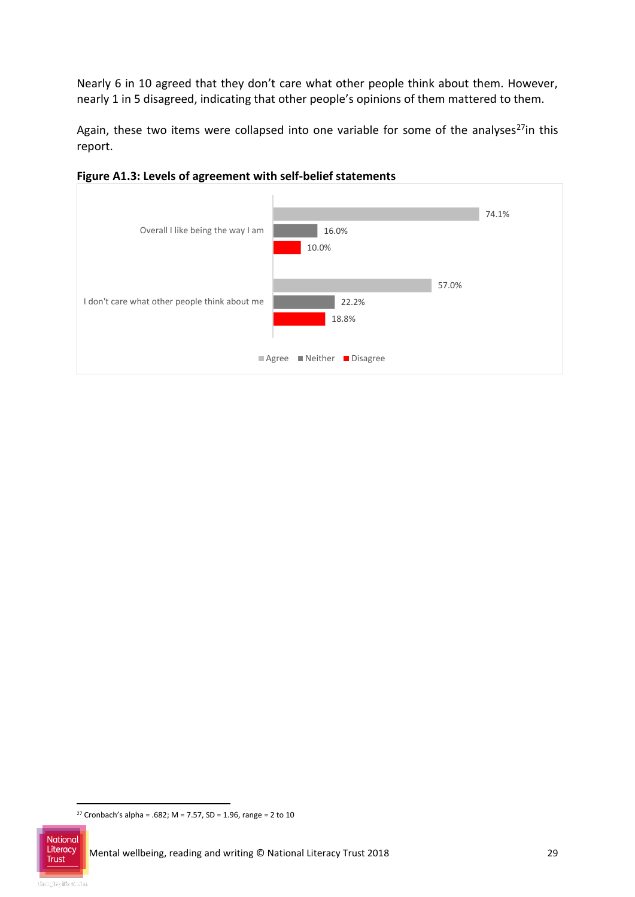Nearly 6 in 10 agreed that they don't care what other people think about them. However, nearly 1 in 5 disagreed, indicating that other people's opinions of them mattered to them.

Again, these two items were collapsed into one variable for some of the analyses<sup>27</sup>in this report.



**Figure A1.3: Levels of agreement with self-belief statements**

<sup>-</sup><sup>27</sup> Cronbach's alpha = .682; M = 7.57, SD = 1.96, range = 2 to 10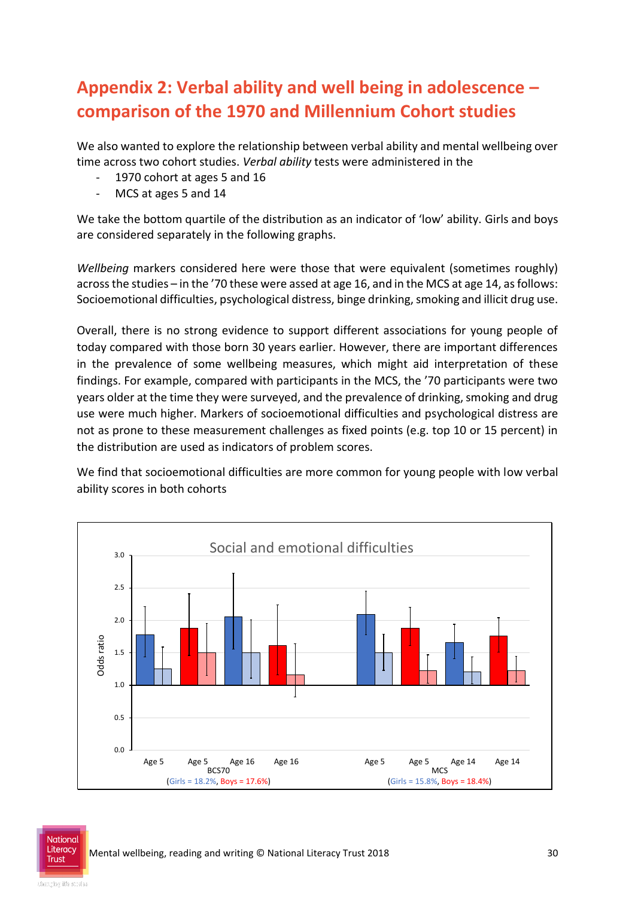## **Appendix 2: Verbal ability and well being in adolescence – comparison of the 1970 and Millennium Cohort studies**

We also wanted to explore the relationship between verbal ability and mental wellbeing over time across two cohort studies. *Verbal ability* tests were administered in the

- 1970 cohort at ages 5 and 16
- MCS at ages 5 and 14

We take the bottom quartile of the distribution as an indicator of 'low' ability. Girls and boys are considered separately in the following graphs.

*Wellbeing* markers considered here were those that were equivalent (sometimes roughly) across the studies – in the '70 these were assed at age 16, and in the MCS at age 14, as follows: Socioemotional difficulties, psychological distress, binge drinking, smoking and illicit drug use.

Overall, there is no strong evidence to support different associations for young people of today compared with those born 30 years earlier. However, there are important differences in the prevalence of some wellbeing measures, which might aid interpretation of these findings. For example, compared with participants in the MCS, the '70 participants were two years older at the time they were surveyed, and the prevalence of drinking, smoking and drug use were much higher. Markers of socioemotional difficulties and psychological distress are not as prone to these measurement challenges as fixed points (e.g. top 10 or 15 percent) in the distribution are used as indicators of problem scores.

We find that socioemotional difficulties are more common for young people with low verbal ability scores in both cohorts

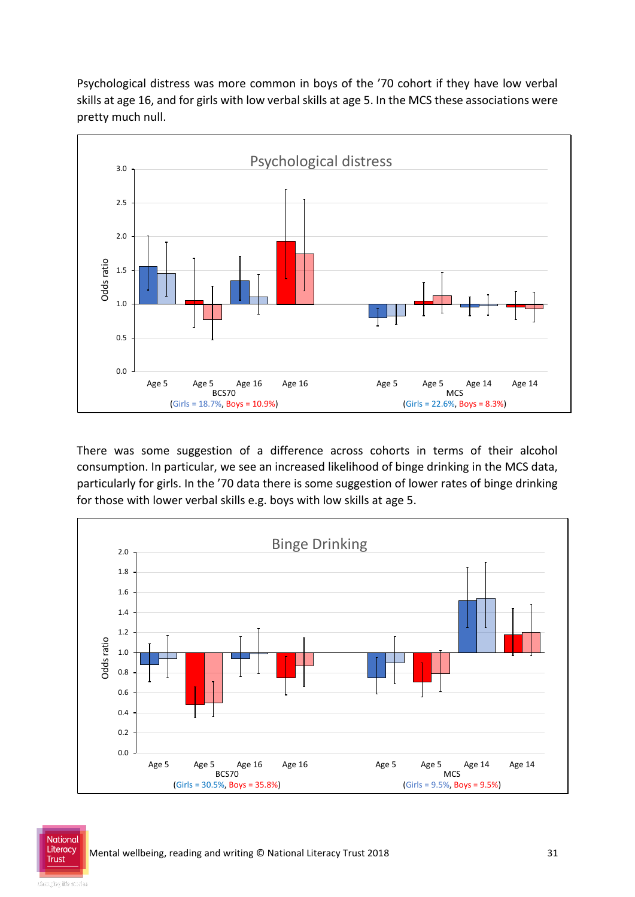Psychological distress was more common in boys of the '70 cohort if they have low verbal skills at age 16, and for girls with low verbal skills at age 5. In the MCS these associations were pretty much null.



There was some suggestion of a difference across cohorts in terms of their alcohol consumption. In particular, we see an increased likelihood of binge drinking in the MCS data, particularly for girls. In the '70 data there is some suggestion of lower rates of binge drinking for those with lower verbal skills e.g. boys with low skills at age 5.



National **Trust**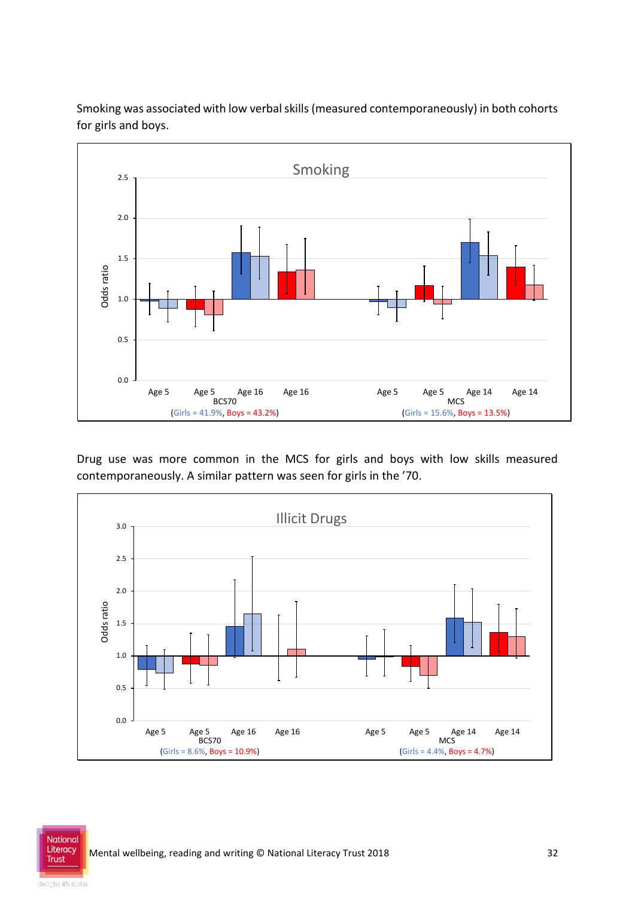Smoking was associated with low verbal skills (measured contemporaneously) in both cohorts for girls and boys.



Drug use was more common in the MCS for girls and boys with low skills measured contemporaneously. A similar pattern was seen for girls in the '70.



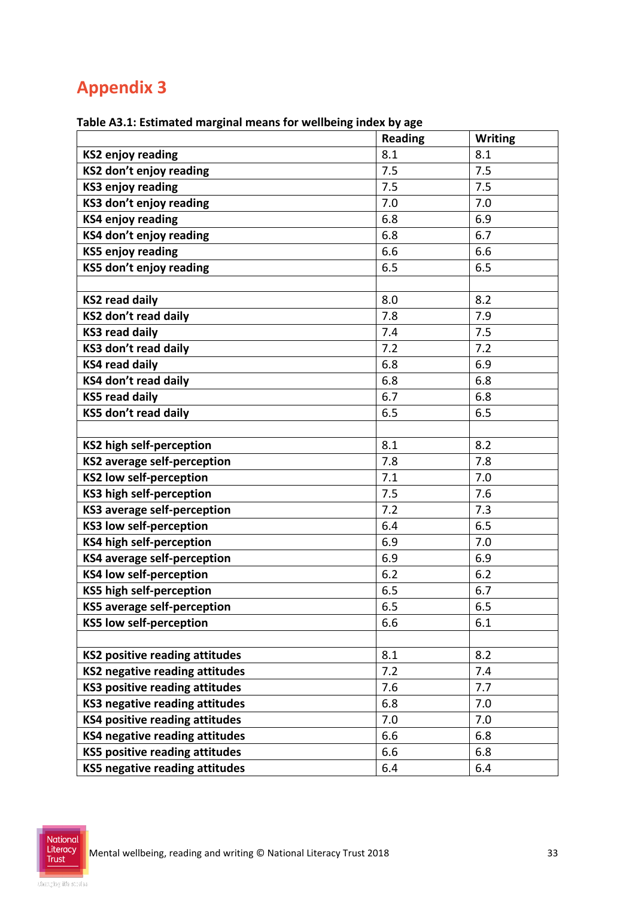## **Appendix 3**

|                                       | <b>Reading</b> | <b>Writing</b> |
|---------------------------------------|----------------|----------------|
| <b>KS2 enjoy reading</b>              | 8.1            | 8.1            |
| KS2 don't enjoy reading               | 7.5            | 7.5            |
| <b>KS3 enjoy reading</b>              | 7.5            | 7.5            |
| KS3 don't enjoy reading               | 7.0            | 7.0            |
| <b>KS4 enjoy reading</b>              | 6.8            | 6.9            |
| KS4 don't enjoy reading               | 6.8            | 6.7            |
| <b>KS5 enjoy reading</b>              | 6.6            | 6.6            |
| KS5 don't enjoy reading               | 6.5            | 6.5            |
|                                       |                |                |
| <b>KS2 read daily</b>                 | 8.0            | 8.2            |
| KS2 don't read daily                  | 7.8            | 7.9            |
| <b>KS3 read daily</b>                 | 7.4            | 7.5            |
| KS3 don't read daily                  | 7.2            | 7.2            |
| <b>KS4 read daily</b>                 | 6.8            | 6.9            |
| KS4 don't read daily                  | 6.8            | 6.8            |
| <b>KS5 read daily</b>                 | 6.7            | 6.8            |
| KS5 don't read daily                  | 6.5            | 6.5            |
|                                       |                |                |
| <b>KS2 high self-perception</b>       | 8.1            | 8.2            |
| <b>KS2</b> average self-perception    | 7.8            | 7.8            |
| <b>KS2 low self-perception</b>        | 7.1            | 7.0            |
| KS3 high self-perception              | 7.5            | 7.6            |
| <b>KS3 average self-perception</b>    | 7.2            | 7.3            |
| <b>KS3 low self-perception</b>        | 6.4            | 6.5            |
| KS4 high self-perception              | 6.9            | 7.0            |
| KS4 average self-perception           | 6.9            | 6.9            |
| <b>KS4 low self-perception</b>        | 6.2            | 6.2            |
| KS5 high self-perception              | 6.5            | 6.7            |
| <b>KS5 average self-perception</b>    | 6.5            | 6.5            |
| <b>KS5 low self-perception</b>        | 6.6            | 6.1            |
|                                       |                |                |
| <b>KS2 positive reading attitudes</b> | 8.1            | 8.2            |
| KS2 negative reading attitudes        | 7.2            | 7.4            |
| <b>KS3 positive reading attitudes</b> | 7.6            | 7.7            |
| KS3 negative reading attitudes        | 6.8            | 7.0            |
| <b>KS4 positive reading attitudes</b> | 7.0            | 7.0            |
| KS4 negative reading attitudes        | 6.6            | 6.8            |
| KS5 positive reading attitudes        | 6.6            | 6.8            |
| KS5 negative reading attitudes        | 6.4            | 6.4            |

#### **Table A3.1: Estimated marginal means for wellbeing index by age**

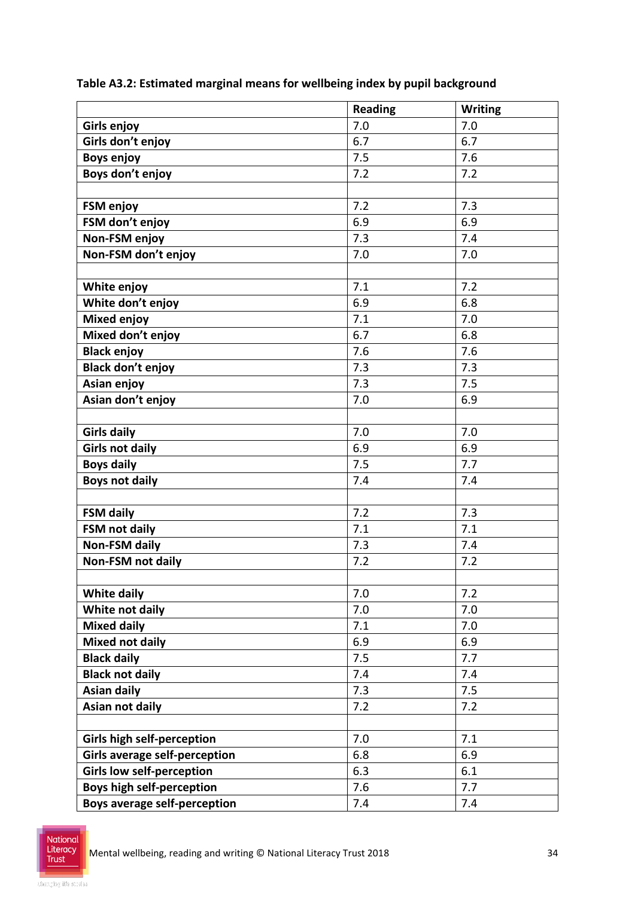|                                      | <b>Reading</b> | <b>Writing</b> |
|--------------------------------------|----------------|----------------|
| Girls enjoy                          | 7.0            | 7.0            |
| Girls don't enjoy                    | 6.7            | 6.7            |
| <b>Boys enjoy</b>                    | 7.5            | 7.6            |
| Boys don't enjoy                     | 7.2            | 7.2            |
|                                      |                |                |
| FSM enjoy                            | 7.2            | 7.3            |
| FSM don't enjoy                      | 6.9            | 6.9            |
| Non-FSM enjoy                        | 7.3            | 7.4            |
| Non-FSM don't enjoy                  | 7.0            | 7.0            |
|                                      |                |                |
| White enjoy                          | 7.1            | 7.2            |
| White don't enjoy                    | 6.9            | 6.8            |
| <b>Mixed enjoy</b>                   | 7.1            | 7.0            |
| Mixed don't enjoy                    | 6.7            | 6.8            |
| <b>Black enjoy</b>                   | 7.6            | 7.6            |
| <b>Black don't enjoy</b>             | 7.3            | 7.3            |
| Asian enjoy                          | 7.3            | 7.5            |
| Asian don't enjoy                    | 7.0            | 6.9            |
|                                      |                |                |
| <b>Girls daily</b>                   | 7.0            | 7.0            |
| <b>Girls not daily</b>               | 6.9            | 6.9            |
| <b>Boys daily</b>                    | 7.5            | 7.7            |
| <b>Boys not daily</b>                | 7.4            | 7.4            |
|                                      |                |                |
| <b>FSM daily</b>                     | 7.2            | 7.3            |
| <b>FSM not daily</b>                 | 7.1            | 7.1            |
| <b>Non-FSM daily</b>                 | 7.3            | 7.4            |
| <b>Non-FSM not daily</b>             | 7.2            | 7.2            |
|                                      |                |                |
| <b>White daily</b>                   | 7.0            | 7.2            |
| White not daily                      | 7.0            | 7.0            |
| <b>Mixed daily</b>                   | 7.1            | 7.0            |
| <b>Mixed not daily</b>               | 6.9            | 6.9            |
| <b>Black daily</b>                   | 7.5            | 7.7            |
| <b>Black not daily</b>               | 7.4            | 7.4            |
| <b>Asian daily</b>                   | 7.3            | 7.5            |
| Asian not daily                      | 7.2            | 7.2            |
|                                      |                |                |
| <b>Girls high self-perception</b>    | 7.0            | 7.1            |
| <b>Girls average self-perception</b> | 6.8            | 6.9            |
| <b>Girls low self-perception</b>     | 6.3            | 6.1            |
| <b>Boys high self-perception</b>     | 7.6            | 7.7            |
| <b>Boys average self-perception</b>  | 7.4            | 7.4            |

**Table A3.2: Estimated marginal means for wellbeing index by pupil background**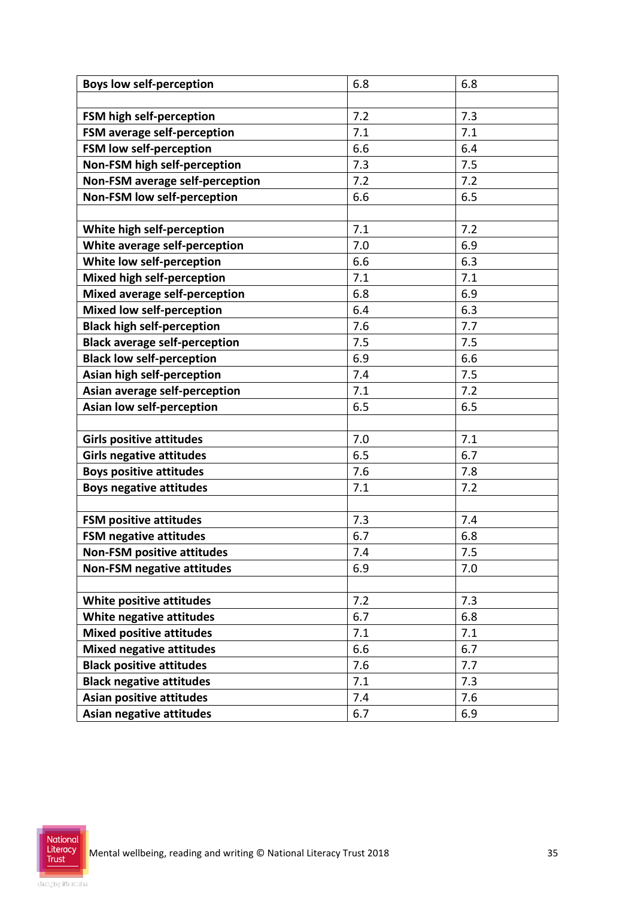| <b>Boys low self-perception</b>      | 6.8 | 6.8 |
|--------------------------------------|-----|-----|
|                                      |     |     |
| FSM high self-perception             | 7.2 | 7.3 |
| FSM average self-perception          | 7.1 | 7.1 |
| FSM low self-perception              | 6.6 | 6.4 |
| Non-FSM high self-perception         | 7.3 | 7.5 |
| Non-FSM average self-perception      | 7.2 | 7.2 |
| Non-FSM low self-perception          | 6.6 | 6.5 |
|                                      |     |     |
| White high self-perception           | 7.1 | 7.2 |
| White average self-perception        | 7.0 | 6.9 |
| White low self-perception            | 6.6 | 6.3 |
| <b>Mixed high self-perception</b>    | 7.1 | 7.1 |
| Mixed average self-perception        | 6.8 | 6.9 |
| Mixed low self-perception            | 6.4 | 6.3 |
| <b>Black high self-perception</b>    | 7.6 | 7.7 |
| <b>Black average self-perception</b> | 7.5 | 7.5 |
| <b>Black low self-perception</b>     | 6.9 | 6.6 |
| Asian high self-perception           | 7.4 | 7.5 |
| Asian average self-perception        | 7.1 | 7.2 |
| Asian low self-perception            | 6.5 | 6.5 |
|                                      |     |     |
| <b>Girls positive attitudes</b>      | 7.0 | 7.1 |
| <b>Girls negative attitudes</b>      | 6.5 | 6.7 |
| <b>Boys positive attitudes</b>       | 7.6 | 7.8 |
| <b>Boys negative attitudes</b>       | 7.1 | 7.2 |
|                                      |     |     |
| <b>FSM positive attitudes</b>        | 7.3 | 7.4 |
| <b>FSM negative attitudes</b>        | 6.7 | 6.8 |
| <b>Non-FSM positive attitudes</b>    | 7.4 | 7.5 |
| <b>Non-FSM negative attitudes</b>    | 6.9 | 7.0 |
|                                      |     |     |
| White positive attitudes             | 7.2 | 7.3 |
| White negative attitudes             | 6.7 | 6.8 |
| <b>Mixed positive attitudes</b>      | 7.1 | 7.1 |
| <b>Mixed negative attitudes</b>      | 6.6 | 6.7 |
| <b>Black positive attitudes</b>      | 7.6 | 7.7 |
| <b>Black negative attitudes</b>      | 7.1 | 7.3 |
| <b>Asian positive attitudes</b>      | 7.4 | 7.6 |
| Asian negative attitudes             | 6.7 | 6.9 |
|                                      |     |     |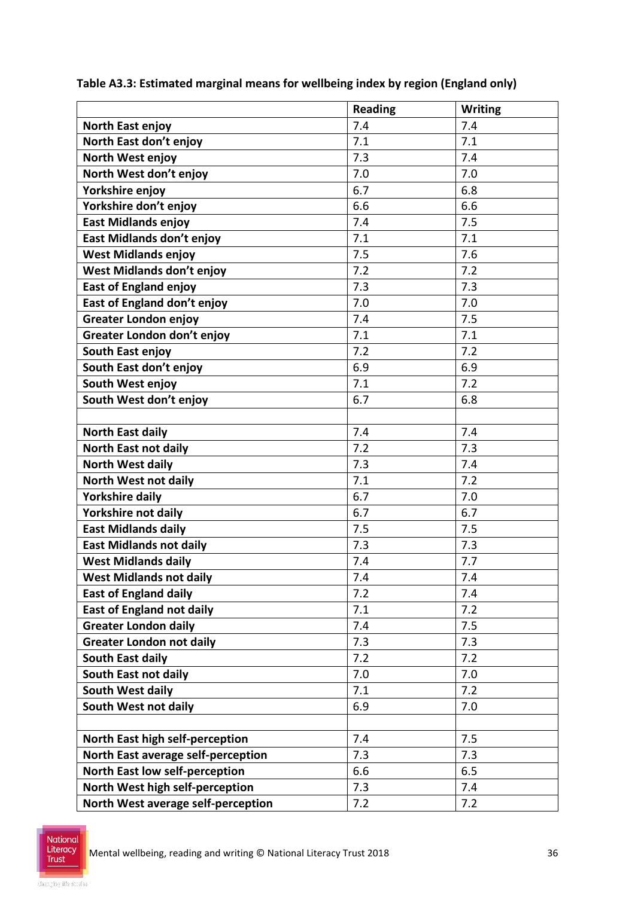|                                    | <b>Reading</b> | <b>Writing</b> |
|------------------------------------|----------------|----------------|
| North East enjoy                   | 7.4            | 7.4            |
| North East don't enjoy             | 7.1            | 7.1            |
| North West enjoy                   | 7.3            | 7.4            |
| North West don't enjoy             | 7.0            | 7.0            |
| Yorkshire enjoy                    | 6.7            | 6.8            |
| Yorkshire don't enjoy              | 6.6            | 6.6            |
| <b>East Midlands enjoy</b>         | 7.4            | 7.5            |
| East Midlands don't enjoy          | 7.1            | 7.1            |
| <b>West Midlands enjoy</b>         | 7.5            | 7.6            |
| West Midlands don't enjoy          | 7.2            | 7.2            |
| <b>East of England enjoy</b>       | 7.3            | 7.3            |
| East of England don't enjoy        | 7.0            | 7.0            |
| <b>Greater London enjoy</b>        | 7.4            | 7.5            |
| Greater London don't enjoy         | 7.1            | 7.1            |
| South East enjoy                   | 7.2            | 7.2            |
| South East don't enjoy             | 6.9            | 6.9            |
| South West enjoy                   | 7.1            | 7.2            |
| South West don't enjoy             | 6.7            | 6.8            |
|                                    |                |                |
| <b>North East daily</b>            | 7.4            | 7.4            |
| <b>North East not daily</b>        | 7.2            | 7.3            |
| <b>North West daily</b>            | 7.3            | 7.4            |
| North West not daily               | 7.1            | 7.2            |
| <b>Yorkshire daily</b>             | 6.7            | 7.0            |
| Yorkshire not daily                | 6.7            | 6.7            |
| <b>East Midlands daily</b>         | 7.5            | 7.5            |
| <b>East Midlands not daily</b>     | 7.3            | 7.3            |
| <b>West Midlands daily</b>         | 7.4            | 7.7            |
| <b>West Midlands not daily</b>     | 7.4            | 7.4            |
| <b>East of England daily</b>       | 7.2            | 7.4            |
| <b>East of England not daily</b>   | 7.1            | 7.2            |
| <b>Greater London daily</b>        | 7.4            | 7.5            |
| <b>Greater London not daily</b>    | 7.3            | 7.3            |
| South East daily                   | 7.2            | 7.2            |
| South East not daily               | 7.0            | 7.0            |
| South West daily                   | 7.1            | 7.2            |
| South West not daily               | 6.9            | 7.0            |
|                                    |                |                |
| North East high self-perception    | 7.4            | 7.5            |
| North East average self-perception | 7.3            | 7.3            |
| North East low self-perception     | 6.6            | 6.5            |
| North West high self-perception    | 7.3            | 7.4            |
| North West average self-perception | 7.2            | 7.2            |

**Table A3.3: Estimated marginal means for wellbeing index by region (England only)**